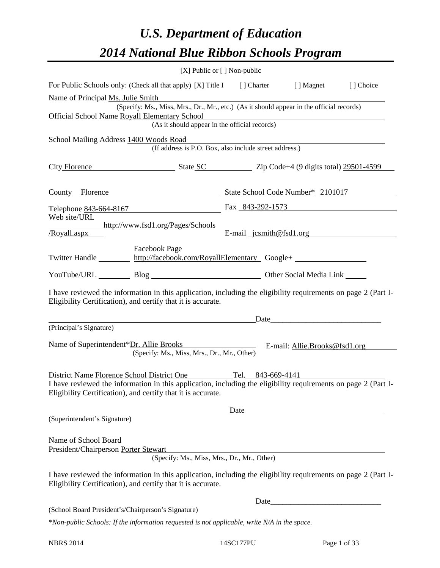# *U.S. Department of Education 2014 National Blue Ribbon Schools Program*

|                                                                                                                                                                                | [X] Public or [] Non-public |                                                                  |                               |           |
|--------------------------------------------------------------------------------------------------------------------------------------------------------------------------------|-----------------------------|------------------------------------------------------------------|-------------------------------|-----------|
| For Public Schools only: (Check all that apply) [X] Title I [] Charter [] Magnet                                                                                               |                             |                                                                  |                               | [] Choice |
| Name of Principal Ms. Julie Smith                                                                                                                                              |                             |                                                                  |                               |           |
| (Specify: Ms., Miss, Mrs., Dr., Mr., etc.) (As it should appear in the official records)<br>Official School Name Royall Elementary School                                      |                             |                                                                  |                               |           |
|                                                                                                                                                                                |                             | ementary School<br>(As it should appear in the official records) |                               |           |
| School Mailing Address 1400 Woods Road                                                                                                                                         |                             |                                                                  |                               |           |
|                                                                                                                                                                                |                             | (If address is P.O. Box, also include street address.)           |                               |           |
| City Florence State SC Zip Code+4 (9 digits total) 29501-4599                                                                                                                  |                             |                                                                  |                               |           |
| County Florence State School Code Number* 2101017                                                                                                                              |                             |                                                                  |                               |           |
| Telephone 843-664-8167                                                                                                                                                         |                             | Fax 843-292-1573                                                 |                               |           |
| Web site/URL<br>http://www.fsd1.org/Pages/Schools                                                                                                                              |                             |                                                                  |                               |           |
| Royall.aspx                                                                                                                                                                    |                             | E-mail $jcsmith@fsd1.org$                                        |                               |           |
| <b>Facebook Page</b><br>Twitter Handle http://facebook.com/RoyallElementary Google+                                                                                            |                             |                                                                  |                               |           |
| YouTube/URL Blog Blog Discount Other Social Media Link                                                                                                                         |                             |                                                                  |                               |           |
| I have reviewed the information in this application, including the eligibility requirements on page 2 (Part I-<br>Eligibility Certification), and certify that it is accurate. |                             |                                                                  |                               |           |
| (Principal's Signature)                                                                                                                                                        |                             |                                                                  |                               |           |
| Name of Superintendent*Dr. Allie Brooks<br>(Specify: Ms., Miss, Mrs., Dr., Mr., Other)                                                                                         |                             |                                                                  | E-mail: Allie.Brooks@fsd1.org |           |
| District Name Florence School District One Tel. 843-669-4141<br>I have reviewed the information in this application, including the eligibility requirements on page 2 (Part I- |                             |                                                                  |                               |           |
| Eligibility Certification), and certify that it is accurate.                                                                                                                   |                             |                                                                  |                               |           |
|                                                                                                                                                                                |                             | Date                                                             |                               |           |
| (Superintendent's Signature)                                                                                                                                                   |                             |                                                                  |                               |           |
| Name of School Board<br>President/Chairperson Porter Stewart                                                                                                                   |                             | (Specify: Ms., Miss, Mrs., Dr., Mr., Other)                      |                               |           |
| I have reviewed the information in this application, including the eligibility requirements on page 2 (Part I-<br>Eligibility Certification), and certify that it is accurate. |                             |                                                                  |                               |           |
| (School Board President's/Chairperson's Signature)                                                                                                                             |                             |                                                                  |                               |           |
|                                                                                                                                                                                |                             |                                                                  |                               |           |

*\*Non-public Schools: If the information requested is not applicable, write N/A in the space.*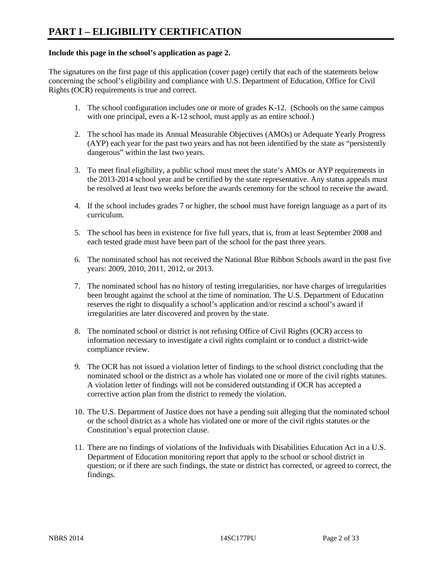#### **Include this page in the school's application as page 2.**

The signatures on the first page of this application (cover page) certify that each of the statements below concerning the school's eligibility and compliance with U.S. Department of Education, Office for Civil Rights (OCR) requirements is true and correct.

- 1. The school configuration includes one or more of grades K-12. (Schools on the same campus with one principal, even a K-12 school, must apply as an entire school.)
- 2. The school has made its Annual Measurable Objectives (AMOs) or Adequate Yearly Progress (AYP) each year for the past two years and has not been identified by the state as "persistently dangerous" within the last two years.
- 3. To meet final eligibility, a public school must meet the state's AMOs or AYP requirements in the 2013-2014 school year and be certified by the state representative. Any status appeals must be resolved at least two weeks before the awards ceremony for the school to receive the award.
- 4. If the school includes grades 7 or higher, the school must have foreign language as a part of its curriculum.
- 5. The school has been in existence for five full years, that is, from at least September 2008 and each tested grade must have been part of the school for the past three years.
- 6. The nominated school has not received the National Blue Ribbon Schools award in the past five years: 2009, 2010, 2011, 2012, or 2013.
- 7. The nominated school has no history of testing irregularities, nor have charges of irregularities been brought against the school at the time of nomination. The U.S. Department of Education reserves the right to disqualify a school's application and/or rescind a school's award if irregularities are later discovered and proven by the state.
- 8. The nominated school or district is not refusing Office of Civil Rights (OCR) access to information necessary to investigate a civil rights complaint or to conduct a district-wide compliance review.
- 9. The OCR has not issued a violation letter of findings to the school district concluding that the nominated school or the district as a whole has violated one or more of the civil rights statutes. A violation letter of findings will not be considered outstanding if OCR has accepted a corrective action plan from the district to remedy the violation.
- 10. The U.S. Department of Justice does not have a pending suit alleging that the nominated school or the school district as a whole has violated one or more of the civil rights statutes or the Constitution's equal protection clause.
- 11. There are no findings of violations of the Individuals with Disabilities Education Act in a U.S. Department of Education monitoring report that apply to the school or school district in question; or if there are such findings, the state or district has corrected, or agreed to correct, the findings.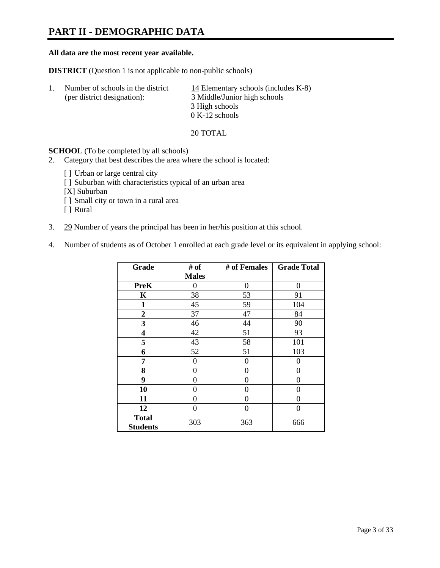### **PART II - DEMOGRAPHIC DATA**

#### **All data are the most recent year available.**

**DISTRICT** (Question 1 is not applicable to non-public schools)

| -1. | Number of schools in the district<br>(per district designation): | 14 Elementary schools (includes K-8)<br>3 Middle/Junior high schools |  |  |
|-----|------------------------------------------------------------------|----------------------------------------------------------------------|--|--|
|     |                                                                  | 3 High schools                                                       |  |  |
|     |                                                                  | $0 K-12$ schools                                                     |  |  |

20 TOTAL

**SCHOOL** (To be completed by all schools)

- 2. Category that best describes the area where the school is located:
	- [] Urban or large central city
	- [ ] Suburban with characteristics typical of an urban area
	- [X] Suburban
	- [ ] Small city or town in a rural area
	- [ ] Rural
- 3. 29 Number of years the principal has been in her/his position at this school.
- 4. Number of students as of October 1 enrolled at each grade level or its equivalent in applying school:

| Grade                           | # of         | # of Females | <b>Grade Total</b> |
|---------------------------------|--------------|--------------|--------------------|
|                                 | <b>Males</b> |              |                    |
| <b>PreK</b>                     | 0            | $\theta$     | $\Omega$           |
| K                               | 38           | 53           | 91                 |
| $\mathbf{1}$                    | 45           | 59           | 104                |
| $\overline{2}$                  | 37           | 47           | 84                 |
| 3                               | 46           | 44           | 90                 |
| 4                               | 42           | 51           | 93                 |
| 5                               | 43           | 58           | 101                |
| 6                               | 52           | 51           | 103                |
| 7                               | 0            | 0            | 0                  |
| 8                               | 0            | 0            | 0                  |
| 9                               | 0            | 0            | 0                  |
| 10                              | 0            | 0            | 0                  |
| 11                              | 0            | 0            | 0                  |
| 12                              | 0            | $\theta$     | 0                  |
| <b>Total</b><br><b>Students</b> | 303          | 363          | 666                |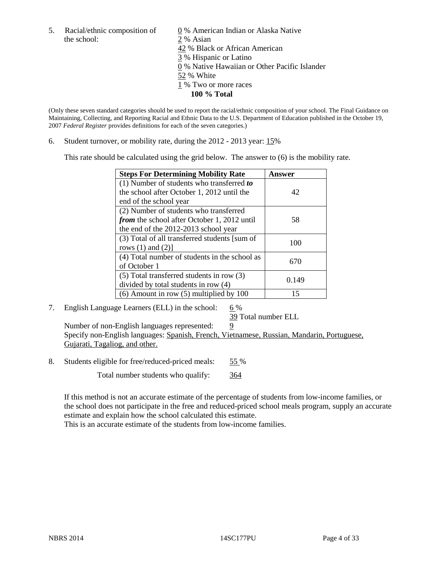the school: 2 % Asian

5. Racial/ethnic composition of  $\qquad \qquad \underline{0}$  % American Indian or Alaska Native 42 % Black or African American 3 % Hispanic or Latino 0 % Native Hawaiian or Other Pacific Islander 52 % White 1 % Two or more races **100 % Total**

(Only these seven standard categories should be used to report the racial/ethnic composition of your school. The Final Guidance on Maintaining, Collecting, and Reporting Racial and Ethnic Data to the U.S. Department of Education published in the October 19, 2007 *Federal Register* provides definitions for each of the seven categories.)

6. Student turnover, or mobility rate, during the 2012 - 2013 year: 15%

This rate should be calculated using the grid below. The answer to (6) is the mobility rate.

| <b>Steps For Determining Mobility Rate</b>         | Answer |
|----------------------------------------------------|--------|
| (1) Number of students who transferred to          |        |
| the school after October 1, 2012 until the         | 42     |
| end of the school year                             |        |
| (2) Number of students who transferred             |        |
| <i>from</i> the school after October 1, 2012 until | 58     |
| the end of the 2012-2013 school year               |        |
| (3) Total of all transferred students [sum of      | 100    |
| rows $(1)$ and $(2)$ ]                             |        |
| (4) Total number of students in the school as      | 670    |
| of October 1                                       |        |
| (5) Total transferred students in row (3)          | 0.149  |
| divided by total students in row (4)               |        |
| $(6)$ Amount in row $(5)$ multiplied by 100        | 15     |

7. English Language Learners (ELL) in the school:  $6\%$ 

39 Total number ELL

Number of non-English languages represented:  $9$ Specify non-English languages: Spanish, French, Vietnamese, Russian, Mandarin, Portuguese, Gujarati, Tagaliog, and other.

8. Students eligible for free/reduced-priced meals: 55 %

Total number students who qualify: 364

If this method is not an accurate estimate of the percentage of students from low-income families, or the school does not participate in the free and reduced-priced school meals program, supply an accurate estimate and explain how the school calculated this estimate.

This is an accurate estimate of the students from low-income families.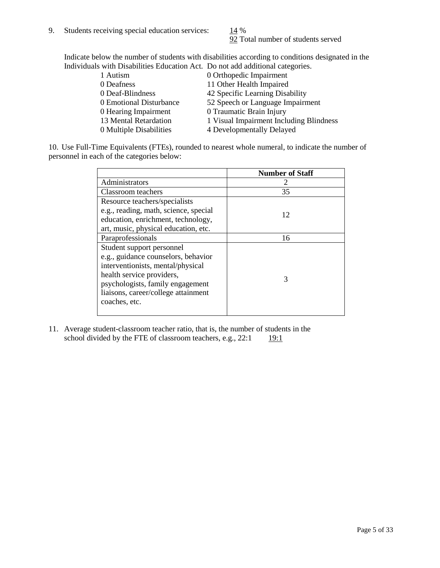92 Total number of students served

Indicate below the number of students with disabilities according to conditions designated in the Individuals with Disabilities Education Act. Do not add additional categories.

| 1 Autism                | 0 Orthopedic Impairment                 |
|-------------------------|-----------------------------------------|
| 0 Deafness              | 11 Other Health Impaired                |
| 0 Deaf-Blindness        | 42 Specific Learning Disability         |
| 0 Emotional Disturbance | 52 Speech or Language Impairment        |
| 0 Hearing Impairment    | 0 Traumatic Brain Injury                |
| 13 Mental Retardation   | 1 Visual Impairment Including Blindness |
| 0 Multiple Disabilities | 4 Developmentally Delayed               |
|                         |                                         |

10. Use Full-Time Equivalents (FTEs), rounded to nearest whole numeral, to indicate the number of personnel in each of the categories below:

|                                       | <b>Number of Staff</b> |
|---------------------------------------|------------------------|
| Administrators                        |                        |
| Classroom teachers                    | 35                     |
| Resource teachers/specialists         |                        |
| e.g., reading, math, science, special | 12                     |
| education, enrichment, technology,    |                        |
| art, music, physical education, etc.  |                        |
| Paraprofessionals                     | 16                     |
| Student support personnel             |                        |
| e.g., guidance counselors, behavior   |                        |
| interventionists, mental/physical     |                        |
| health service providers,             | 3                      |
| psychologists, family engagement      |                        |
| liaisons, career/college attainment   |                        |
| coaches, etc.                         |                        |
|                                       |                        |

11. Average student-classroom teacher ratio, that is, the number of students in the school divided by the FTE of classroom teachers, e.g.,  $22:1$  19:1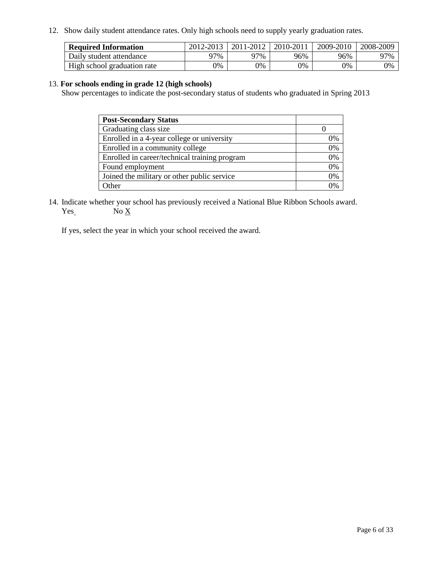12. Show daily student attendance rates. Only high schools need to supply yearly graduation rates.

| <b>Required Information</b> | 2012-2013 | 2011-2012 | 2010-2011 | 2009-2010 | 2008-2009 |
|-----------------------------|-----------|-----------|-----------|-----------|-----------|
| Daily student attendance    | 77%       | 97%       | 96%       | 96%       | 97%       |
| High school graduation rate | 0%        | 9%        | 0%        | 0%        | 0%        |

#### 13. **For schools ending in grade 12 (high schools)**

Show percentages to indicate the post-secondary status of students who graduated in Spring 2013

| <b>Post-Secondary Status</b>                  |    |
|-----------------------------------------------|----|
| Graduating class size                         |    |
| Enrolled in a 4-year college or university    | 0% |
| Enrolled in a community college               | 0% |
| Enrolled in career/technical training program | 0% |
| Found employment                              | 0% |
| Joined the military or other public service   | 0% |
| <b>)</b> ther                                 | 2% |

14. Indicate whether your school has previously received a National Blue Ribbon Schools award.  $Yes$  No  $X$ 

If yes, select the year in which your school received the award.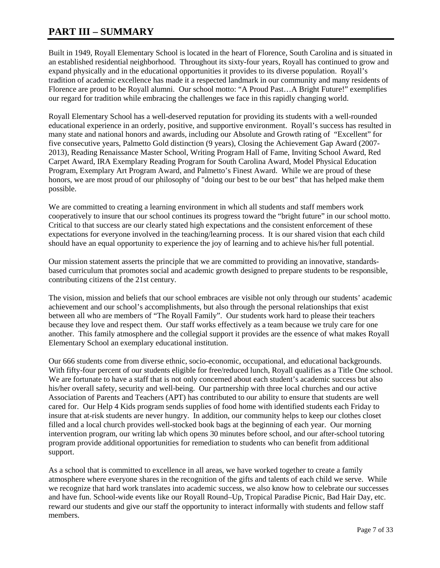### **PART III – SUMMARY**

Built in 1949, Royall Elementary School is located in the heart of Florence, South Carolina and is situated in an established residential neighborhood. Throughout its sixty-four years, Royall has continued to grow and expand physically and in the educational opportunities it provides to its diverse population. Royall's tradition of academic excellence has made it a respected landmark in our community and many residents of Florence are proud to be Royall alumni. Our school motto: "A Proud Past…A Bright Future!" exemplifies our regard for tradition while embracing the challenges we face in this rapidly changing world.

Royall Elementary School has a well-deserved reputation for providing its students with a well-rounded educational experience in an orderly, positive, and supportive environment. Royall's success has resulted in many state and national honors and awards, including our Absolute and Growth rating of "Excellent" for five consecutive years, Palmetto Gold distinction (9 years), Closing the Achievement Gap Award (2007- 2013), Reading Renaissance Master School, Writing Program Hall of Fame, Inviting School Award, Red Carpet Award, IRA Exemplary Reading Program for South Carolina Award, Model Physical Education Program, Exemplary Art Program Award, and Palmetto's Finest Award. While we are proud of these honors, we are most proud of our philosophy of "doing our best to be our best" that has helped make them possible.

We are committed to creating a learning environment in which all students and staff members work cooperatively to insure that our school continues its progress toward the "bright future" in our school motto. Critical to that success are our clearly stated high expectations and the consistent enforcement of these expectations for everyone involved in the teaching/learning process. It is our shared vision that each child should have an equal opportunity to experience the joy of learning and to achieve his/her full potential.

Our mission statement asserts the principle that we are committed to providing an innovative, standardsbased curriculum that promotes social and academic growth designed to prepare students to be responsible, contributing citizens of the 21st century.

The vision, mission and beliefs that our school embraces are visible not only through our students' academic achievement and our school's accomplishments, but also through the personal relationships that exist between all who are members of "The Royall Family". Our students work hard to please their teachers because they love and respect them. Our staff works effectively as a team because we truly care for one another. This family atmosphere and the collegial support it provides are the essence of what makes Royall Elementary School an exemplary educational institution.

Our 666 students come from diverse ethnic, socio-economic, occupational, and educational backgrounds. With fifty-four percent of our students eligible for free/reduced lunch, Royall qualifies as a Title One school. We are fortunate to have a staff that is not only concerned about each student's academic success but also his/her overall safety, security and well-being. Our partnership with three local churches and our active Association of Parents and Teachers (APT) has contributed to our ability to ensure that students are well cared for. Our Help 4 Kids program sends supplies of food home with identified students each Friday to insure that at-risk students are never hungry. In addition, our community helps to keep our clothes closet filled and a local church provides well-stocked book bags at the beginning of each year. Our morning intervention program, our writing lab which opens 30 minutes before school, and our after-school tutoring program provide additional opportunities for remediation to students who can benefit from additional support.

As a school that is committed to excellence in all areas, we have worked together to create a family atmosphere where everyone shares in the recognition of the gifts and talents of each child we serve. While we recognize that hard work translates into academic success, we also know how to celebrate our successes and have fun. School-wide events like our Royall Round–Up, Tropical Paradise Picnic, Bad Hair Day, etc. reward our students and give our staff the opportunity to interact informally with students and fellow staff members.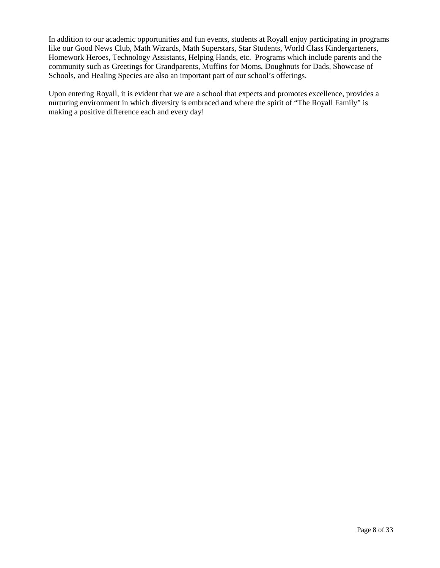In addition to our academic opportunities and fun events, students at Royall enjoy participating in programs like our Good News Club, Math Wizards, Math Superstars, Star Students, World Class Kindergarteners, Homework Heroes, Technology Assistants, Helping Hands, etc. Programs which include parents and the community such as Greetings for Grandparents, Muffins for Moms, Doughnuts for Dads, Showcase of Schools, and Healing Species are also an important part of our school's offerings.

Upon entering Royall, it is evident that we are a school that expects and promotes excellence, provides a nurturing environment in which diversity is embraced and where the spirit of "The Royall Family" is making a positive difference each and every day!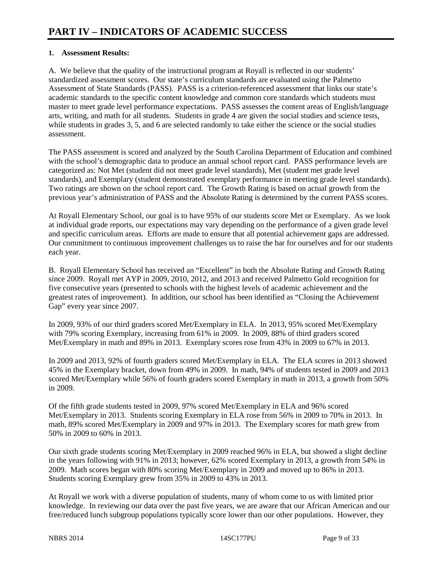#### **1. Assessment Results:**

A. We believe that the quality of the instructional program at Royall is reflected in our students' standardized assessment scores. Our state's curriculum standards are evaluated using the Palmetto Assessment of State Standards (PASS). PASS is a criterion-referenced assessment that links our state's academic standards to the specific content knowledge and common core standards which students must master to meet grade level performance expectations. PASS assesses the content areas of English/language arts, writing, and math for all students. Students in grade 4 are given the social studies and science tests, while students in grades 3, 5, and 6 are selected randomly to take either the science or the social studies assessment.

The PASS assessment is scored and analyzed by the South Carolina Department of Education and combined with the school's demographic data to produce an annual school report card. PASS performance levels are categorized as: Not Met (student did not meet grade level standards), Met (student met grade level standards), and Exemplary (student demonstrated exemplary performance in meeting grade level standards). Two ratings are shown on the school report card. The Growth Rating is based on actual growth from the previous year's administration of PASS and the Absolute Rating is determined by the current PASS scores.

At Royall Elementary School, our goal is to have 95% of our students score Met or Exemplary. As we look at individual grade reports, our expectations may vary depending on the performance of a given grade level and specific curriculum areas. Efforts are made to ensure that all potential achievement gaps are addressed. Our commitment to continuous improvement challenges us to raise the bar for ourselves and for our students each year.

B. Royall Elementary School has received an "Excellent" in both the Absolute Rating and Growth Rating since 2009. Royall met AYP in 2009, 2010, 2012, and 2013 and received Palmetto Gold recognition for five consecutive years (presented to schools with the highest levels of academic achievement and the greatest rates of improvement). In addition, our school has been identified as "Closing the Achievement Gap" every year since 2007.

In 2009, 93% of our third graders scored Met/Exemplary in ELA. In 2013, 95% scored Met/Exemplary with 79% scoring Exemplary, increasing from 61% in 2009. In 2009, 88% of third graders scored Met/Exemplary in math and 89% in 2013. Exemplary scores rose from 43% in 2009 to 67% in 2013.

In 2009 and 2013, 92% of fourth graders scored Met/Exemplary in ELA. The ELA scores in 2013 showed 45% in the Exemplary bracket, down from 49% in 2009. In math, 94% of students tested in 2009 and 2013 scored Met/Exemplary while 56% of fourth graders scored Exemplary in math in 2013, a growth from 50% in 2009.

Of the fifth grade students tested in 2009, 97% scored Met/Exemplary in ELA and 96% scored Met/Exemplary in 2013. Students scoring Exemplary in ELA rose from 56% in 2009 to 70% in 2013. In math, 89% scored Met/Exemplary in 2009 and 97% in 2013. The Exemplary scores for math grew from 50% in 2009 to 60% in 2013.

Our sixth grade students scoring Met/Exemplary in 2009 reached 96% in ELA, but showed a slight decline in the years following with 91% in 2013; however, 62% scored Exemplary in 2013, a growth from 54% in 2009. Math scores began with 80% scoring Met/Exemplary in 2009 and moved up to 86% in 2013. Students scoring Exemplary grew from 35% in 2009 to 43% in 2013.

At Royall we work with a diverse population of students, many of whom come to us with limited prior knowledge. In reviewing our data over the past five years, we are aware that our African American and our free/reduced lunch subgroup populations typically score lower than our other populations. However, they

NBRS 2014 **14SC177PU** Page 9 of 33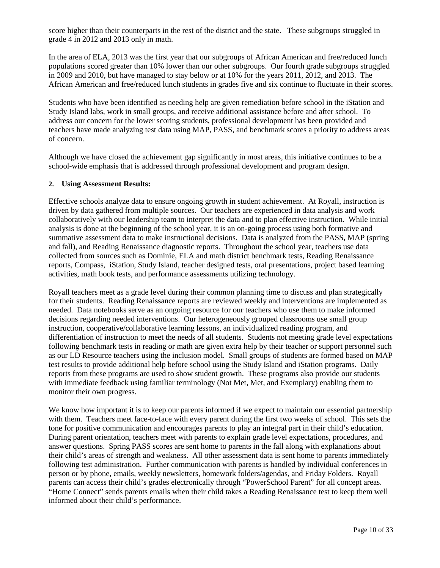score higher than their counterparts in the rest of the district and the state. These subgroups struggled in grade 4 in 2012 and 2013 only in math.

In the area of ELA, 2013 was the first year that our subgroups of African American and free/reduced lunch populations scored greater than 10% lower than our other subgroups. Our fourth grade subgroups struggled in 2009 and 2010, but have managed to stay below or at 10% for the years 2011, 2012, and 2013. The African American and free/reduced lunch students in grades five and six continue to fluctuate in their scores.

Students who have been identified as needing help are given remediation before school in the iStation and Study Island labs, work in small groups, and receive additional assistance before and after school. To address our concern for the lower scoring students, professional development has been provided and teachers have made analyzing test data using MAP, PASS, and benchmark scores a priority to address areas of concern.

Although we have closed the achievement gap significantly in most areas, this initiative continues to be a school-wide emphasis that is addressed through professional development and program design.

#### **2. Using Assessment Results:**

Effective schools analyze data to ensure ongoing growth in student achievement. At Royall, instruction is driven by data gathered from multiple sources. Our teachers are experienced in data analysis and work collaboratively with our leadership team to interpret the data and to plan effective instruction. While initial analysis is done at the beginning of the school year, it is an on-going process using both formative and summative assessment data to make instructional decisions. Data is analyzed from the PASS, MAP (spring and fall), and Reading Renaissance diagnostic reports. Throughout the school year, teachers use data collected from sources such as Dominie, ELA and math district benchmark tests, Reading Renaissance reports, Compass, iStation, Study Island, teacher designed tests, oral presentations, project based learning activities, math book tests, and performance assessments utilizing technology.

Royall teachers meet as a grade level during their common planning time to discuss and plan strategically for their students. Reading Renaissance reports are reviewed weekly and interventions are implemented as needed. Data notebooks serve as an ongoing resource for our teachers who use them to make informed decisions regarding needed interventions. Our heterogeneously grouped classrooms use small group instruction, cooperative/collaborative learning lessons, an individualized reading program, and differentiation of instruction to meet the needs of all students. Students not meeting grade level expectations following benchmark tests in reading or math are given extra help by their teacher or support personnel such as our LD Resource teachers using the inclusion model. Small groups of students are formed based on MAP test results to provide additional help before school using the Study Island and iStation programs. Daily reports from these programs are used to show student growth. These programs also provide our students with immediate feedback using familiar terminology (Not Met, Met, and Exemplary) enabling them to monitor their own progress.

We know how important it is to keep our parents informed if we expect to maintain our essential partnership with them. Teachers meet face-to-face with every parent during the first two weeks of school. This sets the tone for positive communication and encourages parents to play an integral part in their child's education. During parent orientation, teachers meet with parents to explain grade level expectations, procedures, and answer questions. Spring PASS scores are sent home to parents in the fall along with explanations about their child's areas of strength and weakness. All other assessment data is sent home to parents immediately following test administration. Further communication with parents is handled by individual conferences in person or by phone, emails, weekly newsletters, homework folders/agendas, and Friday Folders. Royall parents can access their child's grades electronically through "PowerSchool Parent" for all concept areas. "Home Connect" sends parents emails when their child takes a Reading Renaissance test to keep them well informed about their child's performance.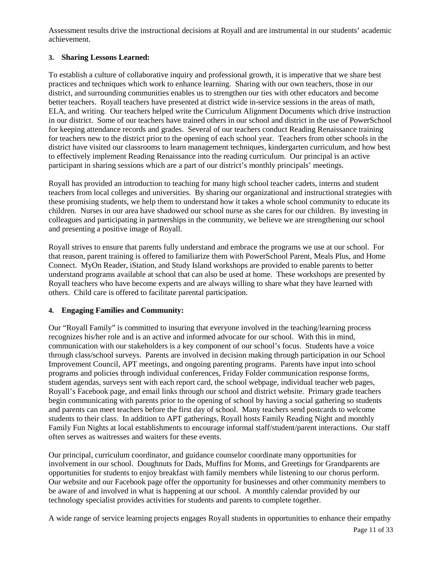Assessment results drive the instructional decisions at Royall and are instrumental in our students' academic achievement.

### **3. Sharing Lessons Learned:**

To establish a culture of collaborative inquiry and professional growth, it is imperative that we share best practices and techniques which work to enhance learning. Sharing with our own teachers, those in our district, and surrounding communities enables us to strengthen our ties with other educators and become better teachers. Royall teachers have presented at district wide in-service sessions in the areas of math, ELA, and writing. Our teachers helped write the Curriculum Alignment Documents which drive instruction in our district. Some of our teachers have trained others in our school and district in the use of PowerSchool for keeping attendance records and grades. Several of our teachers conduct Reading Renaissance training for teachers new to the district prior to the opening of each school year. Teachers from other schools in the district have visited our classrooms to learn management techniques, kindergarten curriculum, and how best to effectively implement Reading Renaissance into the reading curriculum. Our principal is an active participant in sharing sessions which are a part of our district's monthly principals' meetings.

Royall has provided an introduction to teaching for many high school teacher cadets, interns and student teachers from local colleges and universities. By sharing our organizational and instructional strategies with these promising students, we help them to understand how it takes a whole school community to educate its children. Nurses in our area have shadowed our school nurse as she cares for our children. By investing in colleagues and participating in partnerships in the community, we believe we are strengthening our school and presenting a positive image of Royall.

Royall strives to ensure that parents fully understand and embrace the programs we use at our school. For that reason, parent training is offered to familiarize them with PowerSchool Parent, Meals Plus, and Home Connect. MyOn Reader, iStation, and Study Island workshops are provided to enable parents to better understand programs available at school that can also be used at home. These workshops are presented by Royall teachers who have become experts and are always willing to share what they have learned with others. Child care is offered to facilitate parental participation.

#### **4. Engaging Families and Community:**

Our "Royall Family" is committed to insuring that everyone involved in the teaching/learning process recognizes his/her role and is an active and informed advocate for our school. With this in mind, communication with our stakeholders is a key component of our school's focus. Students have a voice through class/school surveys. Parents are involved in decision making through participation in our School Improvement Council, APT meetings, and ongoing parenting programs. Parents have input into school programs and policies through individual conferences, Friday Folder communication response forms, student agendas, surveys sent with each report card, the school webpage, individual teacher web pages, Royall's Facebook page, and email links through our school and district website. Primary grade teachers begin communicating with parents prior to the opening of school by having a social gathering so students and parents can meet teachers before the first day of school. Many teachers send postcards to welcome students to their class. In addition to APT gatherings, Royall hosts Family Reading Night and monthly Family Fun Nights at local establishments to encourage informal staff/student/parent interactions. Our staff often serves as waitresses and waiters for these events.

Our principal, curriculum coordinator, and guidance counselor coordinate many opportunities for involvement in our school. Doughnuts for Dads, Muffins for Moms, and Greetings for Grandparents are opportunities for students to enjoy breakfast with family members while listening to our chorus perform. Our website and our Facebook page offer the opportunity for businesses and other community members to be aware of and involved in what is happening at our school. A monthly calendar provided by our technology specialist provides activities for students and parents to complete together.

A wide range of service learning projects engages Royall students in opportunities to enhance their empathy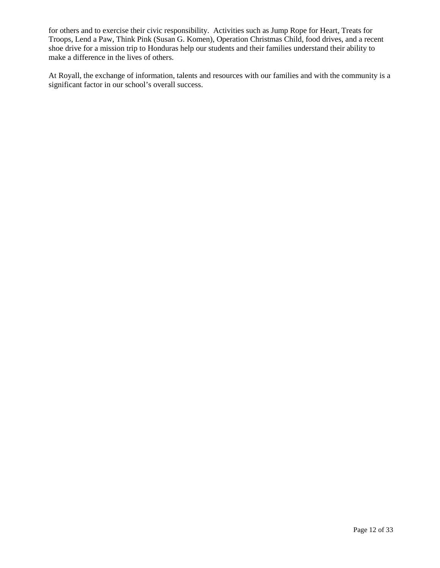for others and to exercise their civic responsibility. Activities such as Jump Rope for Heart, Treats for Troops, Lend a Paw, Think Pink (Susan G. Komen), Operation Christmas Child, food drives, and a recent shoe drive for a mission trip to Honduras help our students and their families understand their ability to make a difference in the lives of others.

At Royall, the exchange of information, talents and resources with our families and with the community is a significant factor in our school's overall success.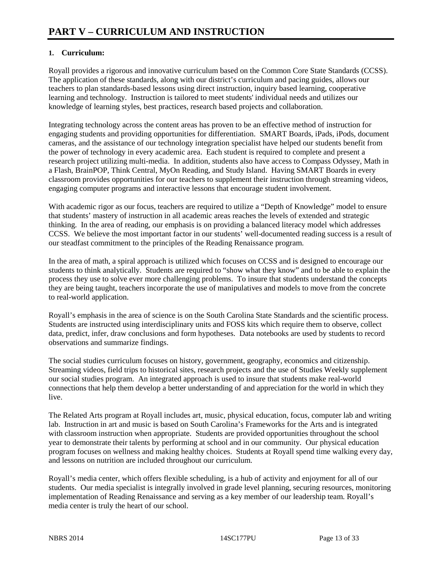### **1. Curriculum:**

Royall provides a rigorous and innovative curriculum based on the Common Core State Standards (CCSS). The application of these standards, along with our district's curriculum and pacing guides, allows our teachers to plan standards-based lessons using direct instruction, inquiry based learning, cooperative learning and technology. Instruction is tailored to meet students' individual needs and utilizes our knowledge of learning styles, best practices, research based projects and collaboration.

Integrating technology across the content areas has proven to be an effective method of instruction for engaging students and providing opportunities for differentiation. SMART Boards, iPads, iPods, document cameras, and the assistance of our technology integration specialist have helped our students benefit from the power of technology in every academic area. Each student is required to complete and present a research project utilizing multi-media. In addition, students also have access to Compass Odyssey, Math in a Flash, BrainPOP, Think Central, MyOn Reading, and Study Island. Having SMART Boards in every classroom provides opportunities for our teachers to supplement their instruction through streaming videos, engaging computer programs and interactive lessons that encourage student involvement.

With academic rigor as our focus, teachers are required to utilize a "Depth of Knowledge" model to ensure that students' mastery of instruction in all academic areas reaches the levels of extended and strategic thinking. In the area of reading, our emphasis is on providing a balanced literacy model which addresses CCSS. We believe the most important factor in our students' well-documented reading success is a result of our steadfast commitment to the principles of the Reading Renaissance program.

In the area of math, a spiral approach is utilized which focuses on CCSS and is designed to encourage our students to think analytically. Students are required to "show what they know" and to be able to explain the process they use to solve ever more challenging problems. To insure that students understand the concepts they are being taught, teachers incorporate the use of manipulatives and models to move from the concrete to real-world application.

Royall's emphasis in the area of science is on the South Carolina State Standards and the scientific process. Students are instructed using interdisciplinary units and FOSS kits which require them to observe, collect data, predict, infer, draw conclusions and form hypotheses. Data notebooks are used by students to record observations and summarize findings.

The social studies curriculum focuses on history, government, geography, economics and citizenship. Streaming videos, field trips to historical sites, research projects and the use of Studies Weekly supplement our social studies program. An integrated approach is used to insure that students make real-world connections that help them develop a better understanding of and appreciation for the world in which they live.

The Related Arts program at Royall includes art, music, physical education, focus, computer lab and writing lab. Instruction in art and music is based on South Carolina's Frameworks for the Arts and is integrated with classroom instruction when appropriate. Students are provided opportunities throughout the school year to demonstrate their talents by performing at school and in our community. Our physical education program focuses on wellness and making healthy choices. Students at Royall spend time walking every day, and lessons on nutrition are included throughout our curriculum.

Royall's media center, which offers flexible scheduling, is a hub of activity and enjoyment for all of our students. Our media specialist is integrally involved in grade level planning, securing resources, monitoring implementation of Reading Renaissance and serving as a key member of our leadership team. Royall's media center is truly the heart of our school.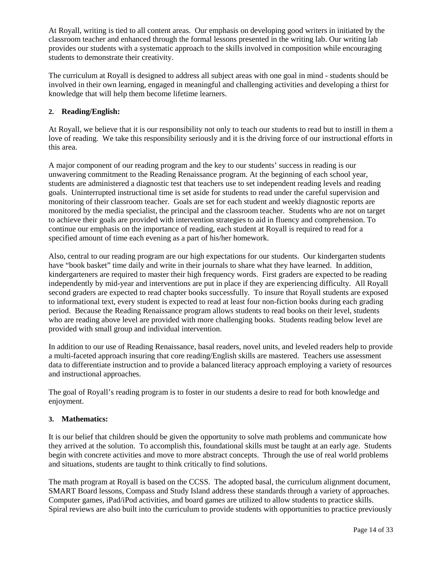At Royall, writing is tied to all content areas. Our emphasis on developing good writers in initiated by the classroom teacher and enhanced through the formal lessons presented in the writing lab. Our writing lab provides our students with a systematic approach to the skills involved in composition while encouraging students to demonstrate their creativity.

The curriculum at Royall is designed to address all subject areas with one goal in mind - students should be involved in their own learning, engaged in meaningful and challenging activities and developing a thirst for knowledge that will help them become lifetime learners.

#### **2. Reading/English:**

At Royall, we believe that it is our responsibility not only to teach our students to read but to instill in them a love of reading. We take this responsibility seriously and it is the driving force of our instructional efforts in this area.

A major component of our reading program and the key to our students' success in reading is our unwavering commitment to the Reading Renaissance program. At the beginning of each school year, students are administered a diagnostic test that teachers use to set independent reading levels and reading goals. Uninterrupted instructional time is set aside for students to read under the careful supervision and monitoring of their classroom teacher. Goals are set for each student and weekly diagnostic reports are monitored by the media specialist, the principal and the classroom teacher. Students who are not on target to achieve their goals are provided with intervention strategies to aid in fluency and comprehension. To continue our emphasis on the importance of reading, each student at Royall is required to read for a specified amount of time each evening as a part of his/her homework.

Also, central to our reading program are our high expectations for our students. Our kindergarten students have "book basket" time daily and write in their journals to share what they have learned. In addition, kindergarteners are required to master their high frequency words. First graders are expected to be reading independently by mid-year and interventions are put in place if they are experiencing difficulty. All Royall second graders are expected to read chapter books successfully. To insure that Royall students are exposed to informational text, every student is expected to read at least four non-fiction books during each grading period. Because the Reading Renaissance program allows students to read books on their level, students who are reading above level are provided with more challenging books. Students reading below level are provided with small group and individual intervention.

In addition to our use of Reading Renaissance, basal readers, novel units, and leveled readers help to provide a multi-faceted approach insuring that core reading/English skills are mastered. Teachers use assessment data to differentiate instruction and to provide a balanced literacy approach employing a variety of resources and instructional approaches.

The goal of Royall's reading program is to foster in our students a desire to read for both knowledge and enjoyment.

#### **3. Mathematics:**

It is our belief that children should be given the opportunity to solve math problems and communicate how they arrived at the solution. To accomplish this, foundational skills must be taught at an early age. Students begin with concrete activities and move to more abstract concepts. Through the use of real world problems and situations, students are taught to think critically to find solutions.

The math program at Royall is based on the CCSS. The adopted basal, the curriculum alignment document, SMART Board lessons, Compass and Study Island address these standards through a variety of approaches. Computer games, iPad/iPod activities, and board games are utilized to allow students to practice skills. Spiral reviews are also built into the curriculum to provide students with opportunities to practice previously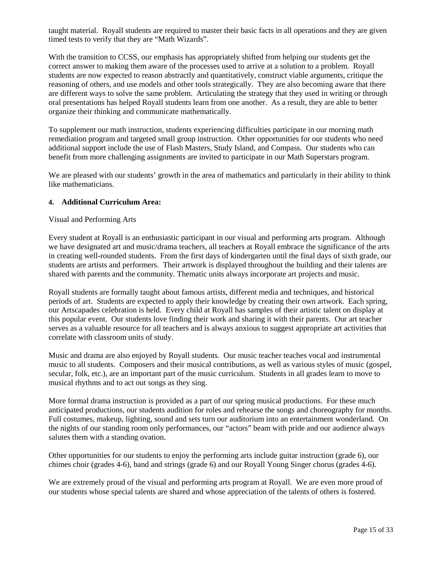taught material. Royall students are required to master their basic facts in all operations and they are given timed tests to verify that they are "Math Wizards".

With the transition to CCSS, our emphasis has appropriately shifted from helping our students get the correct answer to making them aware of the processes used to arrive at a solution to a problem. Royall students are now expected to reason abstractly and quantitatively, construct viable arguments, critique the reasoning of others, and use models and other tools strategically. They are also becoming aware that there are different ways to solve the same problem. Articulating the strategy that they used in writing or through oral presentations has helped Royall students learn from one another. As a result, they are able to better organize their thinking and communicate mathematically.

To supplement our math instruction, students experiencing difficulties participate in our morning math remediation program and targeted small group instruction. Other opportunities for our students who need additional support include the use of Flash Masters, Study Island, and Compass. Our students who can benefit from more challenging assignments are invited to participate in our Math Superstars program.

We are pleased with our students' growth in the area of mathematics and particularly in their ability to think like mathematicians.

#### **4. Additional Curriculum Area:**

#### Visual and Performing Arts

Every student at Royall is an enthusiastic participant in our visual and performing arts program. Although we have designated art and music/drama teachers, all teachers at Royall embrace the significance of the arts in creating well-rounded students. From the first days of kindergarten until the final days of sixth grade, our students are artists and performers. Their artwork is displayed throughout the building and their talents are shared with parents and the community. Thematic units always incorporate art projects and music.

Royall students are formally taught about famous artists, different media and techniques, and historical periods of art. Students are expected to apply their knowledge by creating their own artwork. Each spring, our Artscapades celebration is held. Every child at Royall has samples of their artistic talent on display at this popular event. Our students love finding their work and sharing it with their parents. Our art teacher serves as a valuable resource for all teachers and is always anxious to suggest appropriate art activities that correlate with classroom units of study.

Music and drama are also enjoyed by Royall students. Our music teacher teaches vocal and instrumental music to all students. Composers and their musical contributions, as well as various styles of music (gospel, secular, folk, etc.), are an important part of the music curriculum. Students in all grades learn to move to musical rhythms and to act out songs as they sing.

More formal drama instruction is provided as a part of our spring musical productions. For these much anticipated productions, our students audition for roles and rehearse the songs and choreography for months. Full costumes, makeup, lighting, sound and sets turn our auditorium into an entertainment wonderland. On the nights of our standing room only performances, our "actors" beam with pride and our audience always salutes them with a standing ovation.

Other opportunities for our students to enjoy the performing arts include guitar instruction (grade 6), our chimes choir (grades 4-6), band and strings (grade 6) and our Royall Young Singer chorus (grades 4-6).

We are extremely proud of the visual and performing arts program at Royall. We are even more proud of our students whose special talents are shared and whose appreciation of the talents of others is fostered.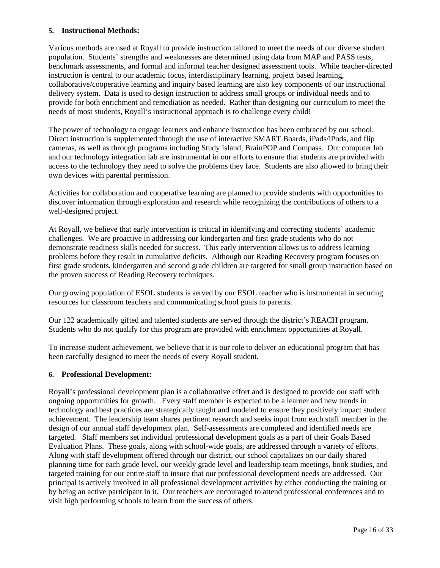#### **5. Instructional Methods:**

Various methods are used at Royall to provide instruction tailored to meet the needs of our diverse student population. Students' strengths and weaknesses are determined using data from MAP and PASS tests, benchmark assessments, and formal and informal teacher designed assessment tools. While teacher-directed instruction is central to our academic focus, interdisciplinary learning, project based learning, collaborative/cooperative learning and inquiry based learning are also key components of our instructional delivery system. Data is used to design instruction to address small groups or individual needs and to provide for both enrichment and remediation as needed. Rather than designing our curriculum to meet the needs of most students, Royall's instructional approach is to challenge every child!

The power of technology to engage learners and enhance instruction has been embraced by our school. Direct instruction is supplemented through the use of interactive SMART Boards, iPads/iPods, and flip cameras, as well as through programs including Study Island, BrainPOP and Compass. Our computer lab and our technology integration lab are instrumental in our efforts to ensure that students are provided with access to the technology they need to solve the problems they face. Students are also allowed to bring their own devices with parental permission.

Activities for collaboration and cooperative learning are planned to provide students with opportunities to discover information through exploration and research while recognizing the contributions of others to a well-designed project.

At Royall, we believe that early intervention is critical in identifying and correcting students' academic challenges. We are proactive in addressing our kindergarten and first grade students who do not demonstrate readiness skills needed for success. This early intervention allows us to address learning problems before they result in cumulative deficits. Although our Reading Recovery program focuses on first grade students, kindergarten and second grade children are targeted for small group instruction based on the proven success of Reading Recovery techniques.

Our growing population of ESOL students is served by our ESOL teacher who is instrumental in securing resources for classroom teachers and communicating school goals to parents.

Our 122 academically gifted and talented students are served through the district's REACH program. Students who do not qualify for this program are provided with enrichment opportunities at Royall.

To increase student achievement, we believe that it is our role to deliver an educational program that has been carefully designed to meet the needs of every Royall student.

#### **6. Professional Development:**

Royall's professional development plan is a collaborative effort and is designed to provide our staff with ongoing opportunities for growth. Every staff member is expected to be a learner and new trends in technology and best practices are strategically taught and modeled to ensure they positively impact student achievement. The leadership team shares pertinent research and seeks input from each staff member in the design of our annual staff development plan. Self-assessments are completed and identified needs are targeted. Staff members set individual professional development goals as a part of their Goals Based Evaluation Plans. These goals, along with school-wide goals, are addressed through a variety of efforts. Along with staff development offered through our district, our school capitalizes on our daily shared planning time for each grade level, our weekly grade level and leadership team meetings, book studies, and targeted training for our entire staff to insure that our professional development needs are addressed. Our principal is actively involved in all professional development activities by either conducting the training or by being an active participant in it. Our teachers are encouraged to attend professional conferences and to visit high performing schools to learn from the success of others.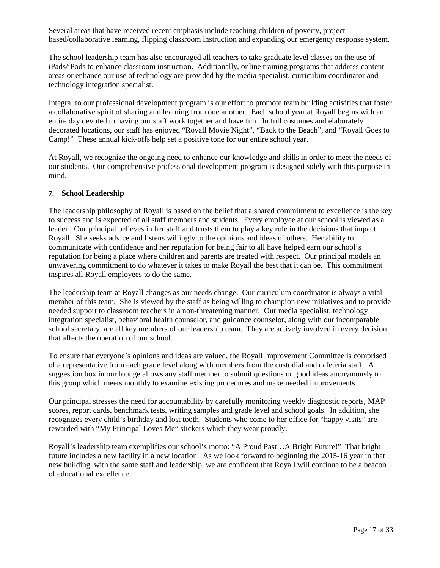Several areas that have received recent emphasis include teaching children of poverty, project based/collaborative learning, flipping classroom instruction and expanding our emergency response system.

The school leadership team has also encouraged all teachers to take graduate level classes on the use of iPads/iPods to enhance classroom instruction. Additionally, online training programs that address content areas or enhance our use of technology are provided by the media specialist, curriculum coordinator and technology integration specialist.

Integral to our professional development program is our effort to promote team building activities that foster a collaborative spirit of sharing and learning from one another. Each school year at Royall begins with an entire day devoted to having our staff work together and have fun. In full costumes and elaborately decorated locations, our staff has enjoyed "Royall Movie Night", "Back to the Beach", and "Royall Goes to Camp!" These annual kick-offs help set a positive tone for our entire school year.

At Royall, we recognize the ongoing need to enhance our knowledge and skills in order to meet the needs of our students. Our comprehensive professional development program is designed solely with this purpose in mind.

#### **7. School Leadership**

The leadership philosophy of Royall is based on the belief that a shared commitment to excellence is the key to success and is expected of all staff members and students. Every employee at our school is viewed as a leader. Our principal believes in her staff and trusts them to play a key role in the decisions that impact Royall. She seeks advice and listens willingly to the opinions and ideas of others. Her ability to communicate with confidence and her reputation for being fair to all have helped earn our school's reputation for being a place where children and parents are treated with respect. Our principal models an unwavering commitment to do whatever it takes to make Royall the best that it can be. This commitment inspires all Royall employees to do the same.

The leadership team at Royall changes as our needs change. Our curriculum coordinator is always a vital member of this team. She is viewed by the staff as being willing to champion new initiatives and to provide needed support to classroom teachers in a non-threatening manner. Our media specialist, technology integration specialist, behavioral health counselor, and guidance counselor, along with our incomparable school secretary, are all key members of our leadership team. They are actively involved in every decision that affects the operation of our school.

To ensure that everyone's opinions and ideas are valued, the Royall Improvement Committee is comprised of a representative from each grade level along with members from the custodial and cafeteria staff. A suggestion box in our lounge allows any staff member to submit questions or good ideas anonymously to this group which meets monthly to examine existing procedures and make needed improvements.

Our principal stresses the need for accountability by carefully monitoring weekly diagnostic reports, MAP scores, report cards, benchmark tests, writing samples and grade level and school goals. In addition, she recognizes every child's birthday and lost tooth. Students who come to her office for "happy visits" are rewarded with "My Principal Loves Me" stickers which they wear proudly.

Royall's leadership team exemplifies our school's motto: "A Proud Past…A Bright Future!" That bright future includes a new facility in a new location. As we look forward to beginning the 2015-16 year in that new building, with the same staff and leadership, we are confident that Royall will continue to be a beacon of educational excellence.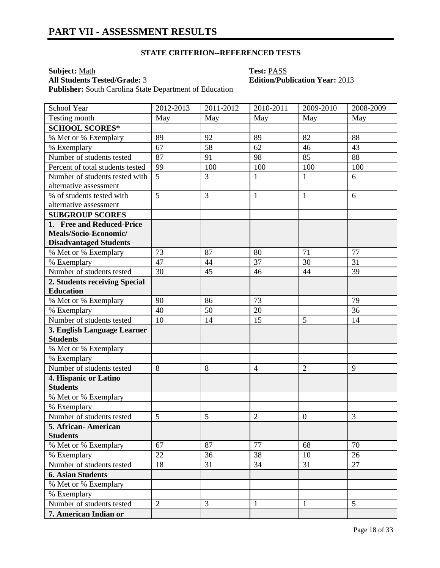**Subject:** <u>Math</u><br> **All Students Tested/Grade:** 3 **Test: PASS**<br> **Edition/Publication Year:** 2013 **All Students Tested/Grade: 3** Publisher: South Carolina State Department of Education

| School Year                      | 2012-2013      | 2011-2012 | $2010 - 2011$  | 2009-2010        | 2008-2009      |
|----------------------------------|----------------|-----------|----------------|------------------|----------------|
| Testing month                    | May            | May       | May            | May              | May            |
| <b>SCHOOL SCORES*</b>            |                |           |                |                  |                |
| % Met or % Exemplary             | 89             | 92        | 89             | 82               | 88             |
| % Exemplary                      | 67             | 58        | 62             | 46               | 43             |
| Number of students tested        | 87             | 91        | 98             | 85               | 88             |
| Percent of total students tested | 99             | 100       | 100            | 100              | 100            |
| Number of students tested with   | 5              | 3         | $\mathbf{1}$   | $\mathbf{1}$     | 6              |
| alternative assessment           |                |           |                |                  |                |
| % of students tested with        | 5              | 3         | $\mathbf{1}$   | $\mathbf{1}$     | 6              |
| alternative assessment           |                |           |                |                  |                |
| <b>SUBGROUP SCORES</b>           |                |           |                |                  |                |
| 1. Free and Reduced-Price        |                |           |                |                  |                |
| Meals/Socio-Economic/            |                |           |                |                  |                |
| <b>Disadvantaged Students</b>    |                |           |                |                  |                |
| % Met or % Exemplary             | 73             | 87        | 80             | 71               | 77             |
| $\overline{\%}$ Exemplary        | 47             | 44        | 37             | 30               | 31             |
| Number of students tested        | 30             | 45        | 46             | 44               | 39             |
| 2. Students receiving Special    |                |           |                |                  |                |
| <b>Education</b>                 |                |           |                |                  |                |
| % Met or % Exemplary             | 90             | 86        | 73             |                  | 79             |
| % Exemplary                      | 40             | 50        | 20             |                  | 36             |
| Number of students tested        | 10             | 14        | 15             | 5                | 14             |
| 3. English Language Learner      |                |           |                |                  |                |
| <b>Students</b>                  |                |           |                |                  |                |
| % Met or % Exemplary             |                |           |                |                  |                |
| % Exemplary                      |                |           |                |                  |                |
| Number of students tested        | 8              | 8         | $\overline{4}$ | $\overline{2}$   | 9              |
| 4. Hispanic or Latino            |                |           |                |                  |                |
| <b>Students</b>                  |                |           |                |                  |                |
| % Met or % Exemplary             |                |           |                |                  |                |
| % Exemplary                      |                |           |                |                  |                |
| Number of students tested        | 5              | 5         | $\overline{2}$ | $\boldsymbol{0}$ | 3              |
| 5. African- American             |                |           |                |                  |                |
| <b>Students</b>                  |                |           |                |                  |                |
| % Met or % Exemplary             | 67             | 87        | 77             | 68               | 70             |
| % Exemplary                      | 22             | 36        | 38             | 10               | 26             |
| Number of students tested        | 18             | 31        | 34             | 31               | 27             |
| <b>6. Asian Students</b>         |                |           |                |                  |                |
| % Met or % Exemplary             |                |           |                |                  |                |
| % Exemplary                      |                |           |                |                  |                |
| Number of students tested        | $\overline{2}$ | 3         | $\mathbf{1}$   | 1                | 5 <sup>5</sup> |
| 7. American Indian or            |                |           |                |                  |                |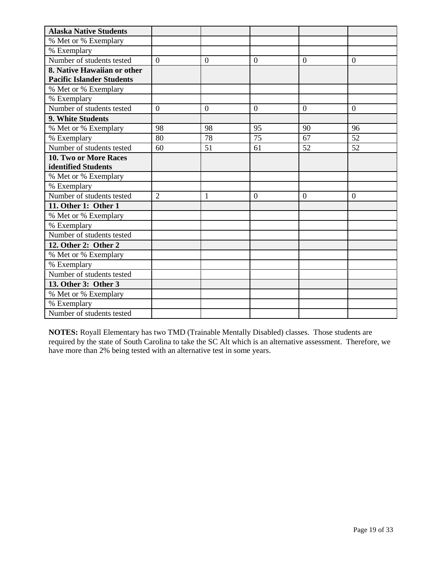| <b>Alaska Native Students</b>    |                |                |                |                |                |
|----------------------------------|----------------|----------------|----------------|----------------|----------------|
| % Met or % Exemplary             |                |                |                |                |                |
| % Exemplary                      |                |                |                |                |                |
| Number of students tested        | $\theta$       | $\overline{0}$ | $\overline{0}$ | $\theta$       | $\overline{0}$ |
| 8. Native Hawaiian or other      |                |                |                |                |                |
| <b>Pacific Islander Students</b> |                |                |                |                |                |
| % Met or % Exemplary             |                |                |                |                |                |
| % Exemplary                      |                |                |                |                |                |
| Number of students tested        | $\overline{0}$ | $\overline{0}$ | $\overline{0}$ | $\overline{0}$ | $\overline{0}$ |
| 9. White Students                |                |                |                |                |                |
| % Met or % Exemplary             | 98             | 98             | 95             | 90             | 96             |
| % Exemplary                      | 80             | 78             | 75             | 67             | 52             |
| Number of students tested        | 60             | 51             | 61             | 52             | 52             |
| <b>10. Two or More Races</b>     |                |                |                |                |                |
| identified Students              |                |                |                |                |                |
| % Met or % Exemplary             |                |                |                |                |                |
| % Exemplary                      |                |                |                |                |                |
| Number of students tested        | $\overline{2}$ | 1              | $\overline{0}$ | $\overline{0}$ | $\overline{0}$ |
| 11. Other 1: Other 1             |                |                |                |                |                |
| % Met or % Exemplary             |                |                |                |                |                |
| % Exemplary                      |                |                |                |                |                |
| Number of students tested        |                |                |                |                |                |
| 12. Other 2: Other 2             |                |                |                |                |                |
| % Met or % Exemplary             |                |                |                |                |                |
| % Exemplary                      |                |                |                |                |                |
| Number of students tested        |                |                |                |                |                |
| 13. Other 3: Other 3             |                |                |                |                |                |
| % Met or % Exemplary             |                |                |                |                |                |
| % Exemplary                      |                |                |                |                |                |
| Number of students tested        |                |                |                |                |                |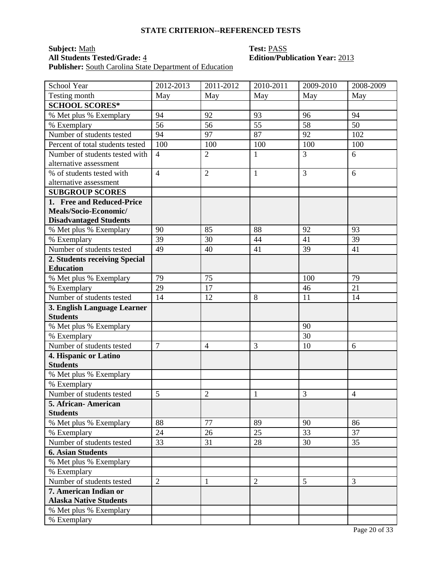**Subject:** <u>Math</u><br> **All Students Tested/Grade:** 4 **Test: PASS**<br> **Edition/Public Edition/Public Edition** Publisher: South Carolina State Department of Education

# **All Students Tested/Grade:** 4 **Edition/Publication Year:** 2013

| School Year                      | 2012-2013      | 2011-2012      | 2010-2011      | $\overline{2009}$ -2010 | 2008-2009      |
|----------------------------------|----------------|----------------|----------------|-------------------------|----------------|
| Testing month                    | May            | May            | May            | May                     | May            |
| <b>SCHOOL SCORES*</b>            |                |                |                |                         |                |
| % Met plus % Exemplary           | 94             | 92             | 93             | 96                      | 94             |
| % Exemplary                      | 56             | 56             | 55             | 58                      | 50             |
| Number of students tested        | 94             | 97             | 87             | 92                      | 102            |
| Percent of total students tested | 100            | 100            | 100            | 100                     | 100            |
| Number of students tested with   | $\overline{4}$ | $\overline{2}$ | $\mathbf{1}$   | 3                       | 6              |
| alternative assessment           |                |                |                |                         |                |
| % of students tested with        | $\overline{4}$ | $\overline{2}$ | $\mathbf{1}$   | 3                       | 6              |
| alternative assessment           |                |                |                |                         |                |
| <b>SUBGROUP SCORES</b>           |                |                |                |                         |                |
| 1. Free and Reduced-Price        |                |                |                |                         |                |
| Meals/Socio-Economic/            |                |                |                |                         |                |
| <b>Disadvantaged Students</b>    |                |                |                |                         |                |
| % Met plus % Exemplary           | 90             | 85             | 88             | 92                      | 93             |
| % Exemplary                      | 39             | 30             | 44             | 41                      | 39             |
| Number of students tested        | 49             | 40             | 41             | 39                      | 41             |
| 2. Students receiving Special    |                |                |                |                         |                |
| <b>Education</b>                 |                |                |                |                         |                |
| % Met plus % Exemplary           | 79             | 75             |                | 100                     | 79             |
| % Exemplary                      | 29             | 17             |                | 46                      | 21             |
| Number of students tested        | 14             | 12             | 8              | 11                      | 14             |
| 3. English Language Learner      |                |                |                |                         |                |
| <b>Students</b>                  |                |                |                |                         |                |
| % Met plus % Exemplary           |                |                |                | 90                      |                |
| % Exemplary                      |                |                |                | 30                      |                |
| Number of students tested        | $\overline{7}$ | $\overline{4}$ | 3              | 10                      | 6              |
| 4. Hispanic or Latino            |                |                |                |                         |                |
| <b>Students</b>                  |                |                |                |                         |                |
| % Met plus % Exemplary           |                |                |                |                         |                |
| % Exemplary                      |                |                |                |                         |                |
| Number of students tested        | 5              | $\overline{2}$ | $\mathbf{1}$   | 3                       | $\overline{4}$ |
| 5. African- American             |                |                |                |                         |                |
| <b>Students</b>                  |                |                |                |                         |                |
| % Met plus % Exemplary           | 88             | 77             | 89             | 90                      | 86             |
| % Exemplary                      | 24             | 26             | 25             | 33                      | 37             |
| Number of students tested        | 33             | 31             | 28             | 30                      | 35             |
| <b>6. Asian Students</b>         |                |                |                |                         |                |
| % Met plus % Exemplary           |                |                |                |                         |                |
| % Exemplary                      |                |                |                |                         |                |
| Number of students tested        | $\overline{2}$ | $\mathbf{1}$   | $\overline{2}$ | 5                       | $\overline{3}$ |
| 7. American Indian or            |                |                |                |                         |                |
| <b>Alaska Native Students</b>    |                |                |                |                         |                |
| % Met plus % Exemplary           |                |                |                |                         |                |
| % Exemplary                      |                |                |                |                         |                |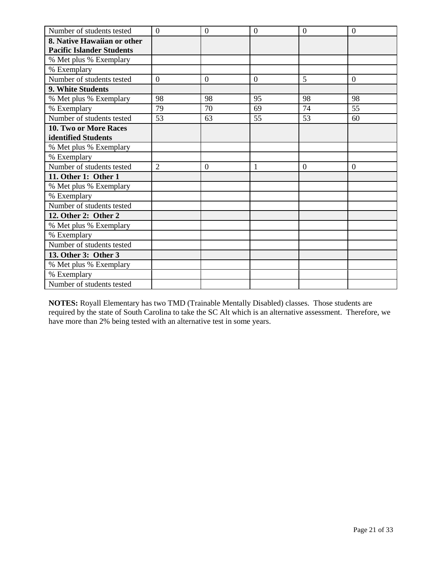| Number of students tested        | $\overline{0}$ | $\overline{0}$ | $\overline{0}$ | $\theta$       | $\overline{0}$ |
|----------------------------------|----------------|----------------|----------------|----------------|----------------|
| 8. Native Hawaiian or other      |                |                |                |                |                |
| <b>Pacific Islander Students</b> |                |                |                |                |                |
| % Met plus % Exemplary           |                |                |                |                |                |
| % Exemplary                      |                |                |                |                |                |
| Number of students tested        | $\overline{0}$ | $\theta$       | $\overline{0}$ | 5              | $\overline{0}$ |
| 9. White Students                |                |                |                |                |                |
| % Met plus % Exemplary           | 98             | 98             | 95             | 98             | 98             |
| % Exemplary                      | 79             | 70             | 69             | 74             | 55             |
| Number of students tested        | 53             | 63             | 55             | 53             | 60             |
| 10. Two or More Races            |                |                |                |                |                |
| identified Students              |                |                |                |                |                |
| % Met plus % Exemplary           |                |                |                |                |                |
| % Exemplary                      |                |                |                |                |                |
| Number of students tested        | $\overline{2}$ | $\overline{0}$ | $\mathbf{1}$   | $\overline{0}$ | $\overline{0}$ |
| 11. Other 1: Other 1             |                |                |                |                |                |
| % Met plus % Exemplary           |                |                |                |                |                |
| % Exemplary                      |                |                |                |                |                |
| Number of students tested        |                |                |                |                |                |
| 12. Other 2: Other 2             |                |                |                |                |                |
| % Met plus % Exemplary           |                |                |                |                |                |
| % Exemplary                      |                |                |                |                |                |
| Number of students tested        |                |                |                |                |                |
| 13. Other 3: Other 3             |                |                |                |                |                |
| % Met plus % Exemplary           |                |                |                |                |                |
| % Exemplary                      |                |                |                |                |                |
| Number of students tested        |                |                |                |                |                |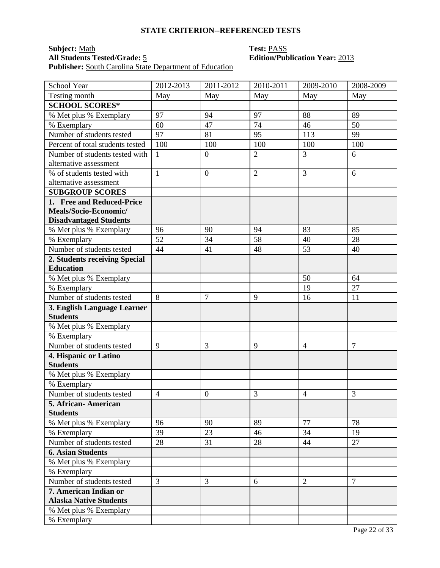**Subject:** Math **Test:** PASS **All Students Tested/Grade:** 5 **Edition/Publication Year:** 2013 **Publisher:** South Carolina State Department of Education

| School Year                      | 2012-2013      | 2011-2012        | 2010-2011      | $\overline{2009}$ -2010 | 2008-2009      |
|----------------------------------|----------------|------------------|----------------|-------------------------|----------------|
| Testing month                    | May            | May              | May            | May                     | May            |
| <b>SCHOOL SCORES*</b>            |                |                  |                |                         |                |
| % Met plus % Exemplary           | 97             | 94               | 97             | 88                      | 89             |
| % Exemplary                      | 60             | 47               | 74             | 46                      | 50             |
| Number of students tested        | 97             | 81               | 95             | 113                     | 99             |
| Percent of total students tested | 100            | 100              | 100            | 100                     | 100            |
| Number of students tested with   | $\mathbf{1}$   | $\overline{0}$   | $\overline{2}$ | $\overline{3}$          | 6              |
| alternative assessment           |                |                  |                |                         |                |
| % of students tested with        | $\mathbf{1}$   | $\boldsymbol{0}$ | $\overline{2}$ | 3                       | 6              |
| alternative assessment           |                |                  |                |                         |                |
| <b>SUBGROUP SCORES</b>           |                |                  |                |                         |                |
| 1. Free and Reduced-Price        |                |                  |                |                         |                |
| Meals/Socio-Economic/            |                |                  |                |                         |                |
| <b>Disadvantaged Students</b>    |                |                  |                |                         |                |
| % Met plus % Exemplary           | 96             | 90               | 94             | 83                      | 85             |
| % Exemplary                      | 52             | 34               | 58             | 40                      | 28             |
| Number of students tested        | 44             | 41               | 48             | 53                      | 40             |
| 2. Students receiving Special    |                |                  |                |                         |                |
| <b>Education</b>                 |                |                  |                |                         |                |
| % Met plus % Exemplary           |                |                  |                | 50                      | 64             |
| % Exemplary                      |                |                  |                | 19                      | 27             |
| Number of students tested        | $\overline{8}$ | $\overline{7}$   | 9              | 16                      | 11             |
| 3. English Language Learner      |                |                  |                |                         |                |
| <b>Students</b>                  |                |                  |                |                         |                |
| % Met plus % Exemplary           |                |                  |                |                         |                |
| % Exemplary                      |                |                  |                |                         |                |
| Number of students tested        | 9              | 3                | 9              | $\overline{4}$          | $\overline{7}$ |
| 4. Hispanic or Latino            |                |                  |                |                         |                |
| <b>Students</b>                  |                |                  |                |                         |                |
| % Met plus % Exemplary           |                |                  |                |                         |                |
| % Exemplary                      |                |                  |                |                         |                |
| Number of students tested        | $\overline{4}$ | $\boldsymbol{0}$ | 3              | $\overline{4}$          | 3              |
| 5. African-American              |                |                  |                |                         |                |
| <b>Students</b>                  |                |                  |                |                         |                |
| % Met plus % Exemplary           | 96             | 90               | 89             | 77                      | 78             |
| % Exemplary                      | 39             | 23               | 46             | 34                      | 19             |
| Number of students tested        | 28             | 31               | 28             | 44                      | 27             |
| <b>6. Asian Students</b>         |                |                  |                |                         |                |
| % Met plus % Exemplary           |                |                  |                |                         |                |
| % Exemplary                      |                |                  |                |                         |                |
| Number of students tested        | $\overline{3}$ | 3                | 6              | $\overline{2}$          | $\overline{7}$ |
| 7. American Indian or            |                |                  |                |                         |                |
| <b>Alaska Native Students</b>    |                |                  |                |                         |                |
| % Met plus % Exemplary           |                |                  |                |                         |                |
| % Exemplary                      |                |                  |                |                         |                |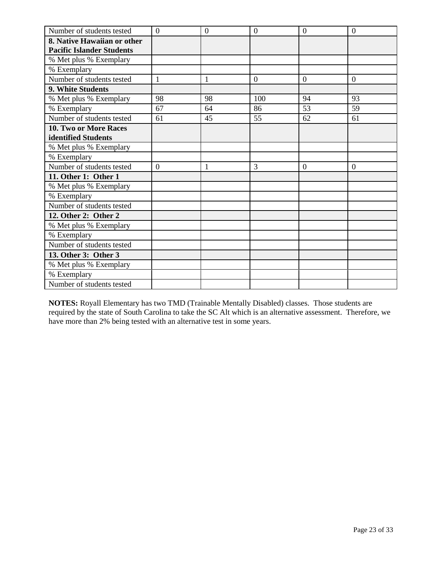| Number of students tested        | $\overline{0}$ | $\mathbf{0}$ | $\overline{0}$ | $\overline{0}$ | $\mathbf{0}$   |
|----------------------------------|----------------|--------------|----------------|----------------|----------------|
| 8. Native Hawaiian or other      |                |              |                |                |                |
| <b>Pacific Islander Students</b> |                |              |                |                |                |
| % Met plus % Exemplary           |                |              |                |                |                |
| % Exemplary                      |                |              |                |                |                |
| Number of students tested        | 1              | 1            | $\overline{0}$ | $\overline{0}$ | $\overline{0}$ |
| 9. White Students                |                |              |                |                |                |
| % Met plus % Exemplary           | 98             | 98           | 100            | 94             | 93             |
| % Exemplary                      | 67             | 64           | 86             | 53             | 59             |
| Number of students tested        | 61             | 45           | 55             | 62             | 61             |
| <b>10. Two or More Races</b>     |                |              |                |                |                |
| identified Students              |                |              |                |                |                |
| % Met plus % Exemplary           |                |              |                |                |                |
| % Exemplary                      |                |              |                |                |                |
| Number of students tested        | $\overline{0}$ | $\mathbf{1}$ | 3              | $\Omega$       | $\overline{0}$ |
| 11. Other 1: Other 1             |                |              |                |                |                |
| % Met plus % Exemplary           |                |              |                |                |                |
| % Exemplary                      |                |              |                |                |                |
| Number of students tested        |                |              |                |                |                |
| 12. Other 2: Other 2             |                |              |                |                |                |
| % Met plus % Exemplary           |                |              |                |                |                |
| % Exemplary                      |                |              |                |                |                |
| Number of students tested        |                |              |                |                |                |
| 13. Other 3: Other 3             |                |              |                |                |                |
| % Met plus % Exemplary           |                |              |                |                |                |
| % Exemplary                      |                |              |                |                |                |
| Number of students tested        |                |              |                |                |                |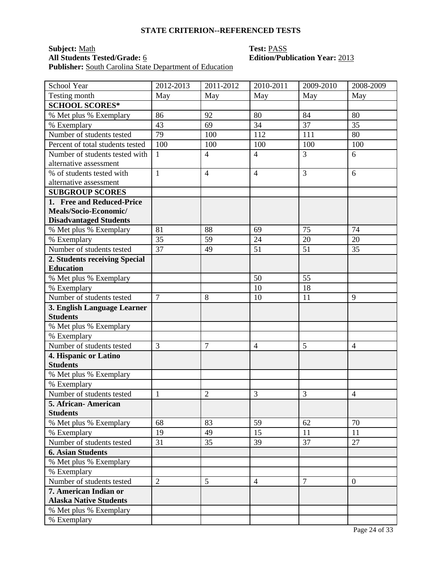**Subject:** Math **Test:** PASS Publisher: South Carolina State Department of Education

# **All Students Tested/Grade:** 6 **Edition/Publication Year:** 2013

| School Year                      | 2012-2013      | $2011 - 2012$  | 2010-2011      | 2009-2010      | 2008-2009      |
|----------------------------------|----------------|----------------|----------------|----------------|----------------|
| Testing month                    | May            | May            | May            | May            | May            |
| <b>SCHOOL SCORES*</b>            |                |                |                |                |                |
| % Met plus % Exemplary           | 86             | 92             | 80             | 84             | 80             |
| % Exemplary                      | 43             | 69             | 34             | 37             | 35             |
| Number of students tested        | 79             | 100            | 112            | 111            | 80             |
| Percent of total students tested | 100            | 100            | 100            | 100            | 100            |
| Number of students tested with   | $\mathbf{1}$   | $\overline{4}$ | $\overline{4}$ | 3              | 6              |
| alternative assessment           |                |                |                |                |                |
| % of students tested with        | $\mathbf{1}$   | $\overline{4}$ | $\overline{4}$ | 3              | 6              |
| alternative assessment           |                |                |                |                |                |
| <b>SUBGROUP SCORES</b>           |                |                |                |                |                |
| 1. Free and Reduced-Price        |                |                |                |                |                |
| Meals/Socio-Economic/            |                |                |                |                |                |
| <b>Disadvantaged Students</b>    |                |                |                |                |                |
| % Met plus % Exemplary           | 81             | 88             | 69             | 75             | 74             |
| % Exemplary                      | 35             | 59             | 24             | 20             | 20             |
| Number of students tested        | 37             | 49             | 51             | 51             | 35             |
| 2. Students receiving Special    |                |                |                |                |                |
| <b>Education</b>                 |                |                |                |                |                |
| % Met plus % Exemplary           |                |                | 50             | 55             |                |
| % Exemplary                      |                |                | 10             | 18             |                |
| Number of students tested        | $\overline{7}$ | 8              | 10             | 11             | 9              |
| 3. English Language Learner      |                |                |                |                |                |
| <b>Students</b>                  |                |                |                |                |                |
| % Met plus % Exemplary           |                |                |                |                |                |
| % Exemplary                      |                |                |                |                |                |
| Number of students tested        | 3              | 7              | $\overline{4}$ | 5              | $\overline{4}$ |
| 4. Hispanic or Latino            |                |                |                |                |                |
| <b>Students</b>                  |                |                |                |                |                |
| % Met plus % Exemplary           |                |                |                |                |                |
| % Exemplary                      |                |                |                |                |                |
| Number of students tested        | 1              | $\overline{2}$ | 3              | 3              | $\overline{4}$ |
| 5. African- American             |                |                |                |                |                |
| <b>Students</b>                  |                |                |                |                |                |
| % Met plus % Exemplary           | 68             | 83             | 59             | 62             | 70             |
| % Exemplary                      | 19             | 49             | 15             | 11             | 11             |
| Number of students tested        | 31             | 35             | 39             | 37             | 27             |
| <b>6. Asian Students</b>         |                |                |                |                |                |
| % Met plus % Exemplary           |                |                |                |                |                |
| % Exemplary                      |                |                |                |                |                |
| Number of students tested        | $\overline{2}$ | 5              | $\overline{4}$ | $\overline{7}$ | $\overline{0}$ |
| 7. American Indian or            |                |                |                |                |                |
| <b>Alaska Native Students</b>    |                |                |                |                |                |
| % Met plus % Exemplary           |                |                |                |                |                |
| % Exemplary                      |                |                |                |                |                |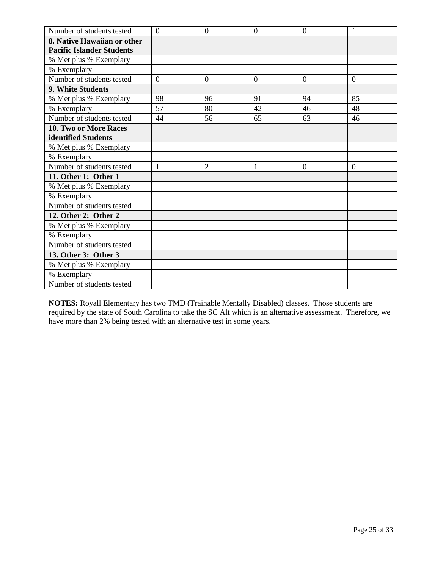| Number of students tested        | $\overline{0}$ | $\overline{0}$ | $\overline{0}$ | $\theta$       | 1              |
|----------------------------------|----------------|----------------|----------------|----------------|----------------|
| 8. Native Hawaiian or other      |                |                |                |                |                |
| <b>Pacific Islander Students</b> |                |                |                |                |                |
| % Met plus % Exemplary           |                |                |                |                |                |
| % Exemplary                      |                |                |                |                |                |
| Number of students tested        | $\theta$       | $\theta$       | $\overline{0}$ | $\overline{0}$ | $\overline{0}$ |
| 9. White Students                |                |                |                |                |                |
| % Met plus % Exemplary           | 98             | 96             | 91             | 94             | 85             |
| % Exemplary                      | 57             | 80             | 42             | 46             | 48             |
| Number of students tested        | 44             | 56             | 65             | 63             | 46             |
| 10. Two or More Races            |                |                |                |                |                |
| identified Students              |                |                |                |                |                |
| % Met plus % Exemplary           |                |                |                |                |                |
| % Exemplary                      |                |                |                |                |                |
| Number of students tested        | $\mathbf{1}$   | $\overline{2}$ | $\mathbf{1}$   | $\overline{0}$ | $\overline{0}$ |
| 11. Other 1: Other 1             |                |                |                |                |                |
| % Met plus % Exemplary           |                |                |                |                |                |
| % Exemplary                      |                |                |                |                |                |
| Number of students tested        |                |                |                |                |                |
| 12. Other 2: Other 2             |                |                |                |                |                |
| % Met plus % Exemplary           |                |                |                |                |                |
| % Exemplary                      |                |                |                |                |                |
| Number of students tested        |                |                |                |                |                |
| 13. Other 3: Other 3             |                |                |                |                |                |
| % Met plus % Exemplary           |                |                |                |                |                |
| % Exemplary                      |                |                |                |                |                |
| Number of students tested        |                |                |                |                |                |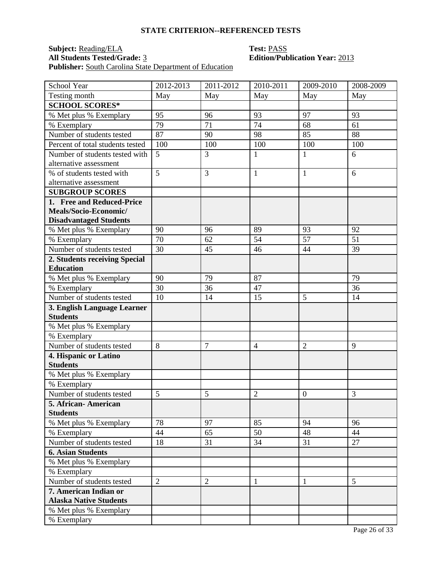## **Subject:** <u>Reading/ELA</u> **Test:** <u>PASS</u><br> **All Students Tested/Grade:** 3 **Edition/Public Edition** Publisher: South Carolina State Department of Education

# **All Students Tested/Grade:** 3 **Edition/Publication Year:** 2013

| School Year                      | 2012-2013       | 2011-2012      | 2010-2011      | $\overline{2009}$ -2010 | 2008-2009 |
|----------------------------------|-----------------|----------------|----------------|-------------------------|-----------|
| Testing month                    | May             | May            | May            | May                     | May       |
| <b>SCHOOL SCORES*</b>            |                 |                |                |                         |           |
| % Met plus % Exemplary           | 95              | 96             | 93             | 97                      | 93        |
| % Exemplary                      | 79              | 71             | 74             | 68                      | 61        |
| Number of students tested        | $\overline{87}$ | 90             | 98             | 85                      | 88        |
| Percent of total students tested | 100             | 100            | 100            | 100                     | 100       |
| Number of students tested with   | 5               | 3              | $\mathbf{1}$   | $\mathbf{1}$            | 6         |
| alternative assessment           |                 |                |                |                         |           |
| % of students tested with        | $\overline{5}$  | 3              | $\mathbf{1}$   | 1                       | 6         |
| alternative assessment           |                 |                |                |                         |           |
| <b>SUBGROUP SCORES</b>           |                 |                |                |                         |           |
| 1. Free and Reduced-Price        |                 |                |                |                         |           |
| Meals/Socio-Economic/            |                 |                |                |                         |           |
| <b>Disadvantaged Students</b>    |                 |                |                |                         |           |
| % Met plus % Exemplary           | 90              | 96             | 89             | 93                      | 92        |
| % Exemplary                      | 70              | 62             | 54             | 57                      | 51        |
| Number of students tested        | 30              | 45             | 46             | 44                      | 39        |
| 2. Students receiving Special    |                 |                |                |                         |           |
| <b>Education</b>                 |                 |                |                |                         |           |
| % Met plus % Exemplary           | 90              | 79             | 87             |                         | 79        |
| % Exemplary                      | 30              | 36             | 47             |                         | 36        |
| Number of students tested        | 10              | 14             | 15             | 5                       | 14        |
| 3. English Language Learner      |                 |                |                |                         |           |
| <b>Students</b>                  |                 |                |                |                         |           |
| % Met plus % Exemplary           |                 |                |                |                         |           |
| % Exemplary                      |                 |                |                |                         |           |
| Number of students tested        | 8               | $\overline{7}$ | $\overline{4}$ | $\overline{2}$          | 9         |
| 4. Hispanic or Latino            |                 |                |                |                         |           |
| <b>Students</b>                  |                 |                |                |                         |           |
| % Met plus % Exemplary           |                 |                |                |                         |           |
| % Exemplary                      |                 |                |                |                         |           |
| Number of students tested        | 5               | 5              | $\overline{2}$ | $\boldsymbol{0}$        | 3         |
| 5. African- American             |                 |                |                |                         |           |
| <b>Students</b>                  |                 |                |                |                         |           |
| % Met plus % Exemplary           | 78              | 97             | 85             | 94                      | 96        |
| % Exemplary                      | 44              | 65             | 50             | 48                      | 44        |
| Number of students tested        | 18              | 31             | 34             | 31                      | 27        |
| <b>6. Asian Students</b>         |                 |                |                |                         |           |
| % Met plus % Exemplary           |                 |                |                |                         |           |
| % Exemplary                      |                 |                |                |                         |           |
| Number of students tested        | $\overline{2}$  | $\overline{2}$ | $\mathbf{1}$   | 1                       | 5         |
| 7. American Indian or            |                 |                |                |                         |           |
| <b>Alaska Native Students</b>    |                 |                |                |                         |           |
| % Met plus % Exemplary           |                 |                |                |                         |           |
| % Exemplary                      |                 |                |                |                         |           |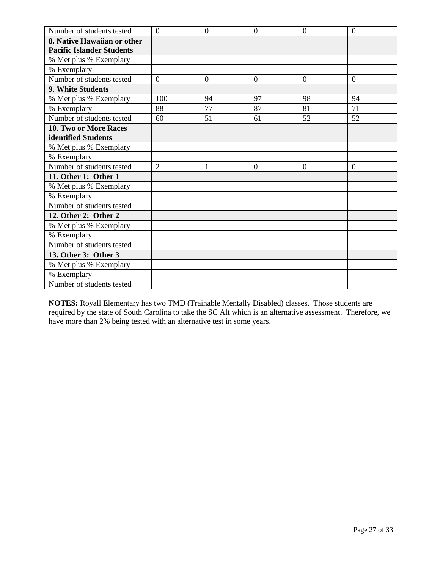| Number of students tested        | $\overline{0}$ | $\mathbf{0}$ | $\overline{0}$ | $\overline{0}$ | $\overline{0}$ |
|----------------------------------|----------------|--------------|----------------|----------------|----------------|
| 8. Native Hawaiian or other      |                |              |                |                |                |
| <b>Pacific Islander Students</b> |                |              |                |                |                |
| % Met plus % Exemplary           |                |              |                |                |                |
| % Exemplary                      |                |              |                |                |                |
| Number of students tested        | $\overline{0}$ | $\theta$     | $\overline{0}$ | $\overline{0}$ | $\overline{0}$ |
| 9. White Students                |                |              |                |                |                |
| % Met plus % Exemplary           | 100            | 94           | 97             | 98             | 94             |
| % Exemplary                      | 88             | 77           | 87             | 81             | 71             |
| Number of students tested        | 60             | 51           | 61             | 52             | 52             |
| <b>10. Two or More Races</b>     |                |              |                |                |                |
| identified Students              |                |              |                |                |                |
| % Met plus % Exemplary           |                |              |                |                |                |
| % Exemplary                      |                |              |                |                |                |
| Number of students tested        | $\overline{2}$ | $\mathbf{1}$ | $\overline{0}$ | $\Omega$       | $\overline{0}$ |
| 11. Other 1: Other 1             |                |              |                |                |                |
| % Met plus % Exemplary           |                |              |                |                |                |
| % Exemplary                      |                |              |                |                |                |
| Number of students tested        |                |              |                |                |                |
| 12. Other 2: Other 2             |                |              |                |                |                |
| % Met plus % Exemplary           |                |              |                |                |                |
| % Exemplary                      |                |              |                |                |                |
| Number of students tested        |                |              |                |                |                |
| 13. Other 3: Other 3             |                |              |                |                |                |
| % Met plus % Exemplary           |                |              |                |                |                |
| % Exemplary                      |                |              |                |                |                |
| Number of students tested        |                |              |                |                |                |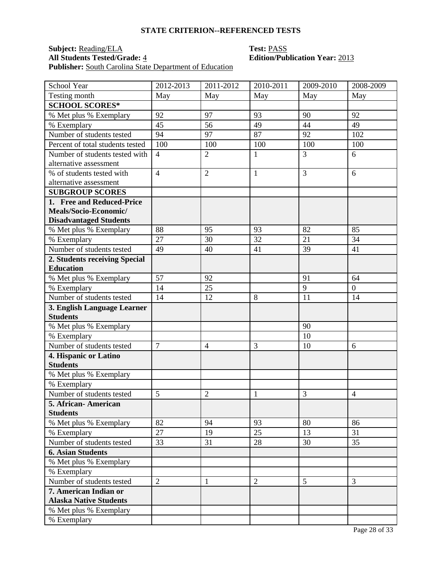## **Subject:** <u>Reading/ELA</u> **Test:** <u>PASS</u><br> **All Students Tested/Grade:** 4 **Edition/Public Edition** Publisher: South Carolina State Department of Education

# **All Students Tested/Grade:** 4 **Edition/Publication Year:** 2013

| School Year                      | 2012-2013      | 2011-2012      | 2010-2011      | 2009-2010 | 2008-2009      |
|----------------------------------|----------------|----------------|----------------|-----------|----------------|
| Testing month                    | May            | May            | May            | May       | May            |
| <b>SCHOOL SCORES*</b>            |                |                |                |           |                |
| % Met plus % Exemplary           | 92             | 97             | 93             | 90        | 92             |
| % Exemplary                      | 45             | 56             | 49             | 44        | 49             |
| Number of students tested        | 94             | 97             | 87             | 92        | 102            |
| Percent of total students tested | 100            | 100            | 100            | 100       | 100            |
| Number of students tested with   | $\overline{4}$ | $\overline{2}$ | $\mathbf{1}$   | 3         | 6              |
| alternative assessment           |                |                |                |           |                |
| % of students tested with        | $\overline{4}$ | $\overline{2}$ | $\mathbf{1}$   | 3         | 6              |
| alternative assessment           |                |                |                |           |                |
| <b>SUBGROUP SCORES</b>           |                |                |                |           |                |
| 1. Free and Reduced-Price        |                |                |                |           |                |
| Meals/Socio-Economic/            |                |                |                |           |                |
| <b>Disadvantaged Students</b>    |                |                |                |           |                |
| % Met plus % Exemplary           | 88             | 95             | 93             | 82        | 85             |
| % Exemplary                      | 27             | 30             | 32             | 21        | 34             |
| Number of students tested        | 49             | 40             | 41             | 39        | 41             |
| 2. Students receiving Special    |                |                |                |           |                |
| <b>Education</b>                 |                |                |                |           |                |
| % Met plus % Exemplary           | 57             | 92             |                | 91        | 64             |
| % Exemplary                      | 14             | 25             |                | 9         | $\overline{0}$ |
| Number of students tested        | 14             | 12             | 8              | 11        | 14             |
| 3. English Language Learner      |                |                |                |           |                |
| <b>Students</b>                  |                |                |                |           |                |
| % Met plus % Exemplary           |                |                |                | 90        |                |
| % Exemplary                      |                |                |                | 10        |                |
| Number of students tested        | $\overline{7}$ | $\overline{4}$ | 3              | 10        | 6              |
| 4. Hispanic or Latino            |                |                |                |           |                |
| <b>Students</b>                  |                |                |                |           |                |
| % Met plus % Exemplary           |                |                |                |           |                |
| % Exemplary                      |                |                |                |           |                |
| Number of students tested        | 5              | $\overline{2}$ | $\mathbf{1}$   | 3         | $\overline{4}$ |
| 5. African- American             |                |                |                |           |                |
| <b>Students</b>                  |                |                |                |           |                |
| % Met plus % Exemplary           | 82             | 94             | 93             | 80        | 86             |
| % Exemplary                      | 27             | 19             | 25             | 13        | 31             |
| Number of students tested        | 33             | 31             | 28             | 30        | 35             |
| <b>6. Asian Students</b>         |                |                |                |           |                |
| % Met plus % Exemplary           |                |                |                |           |                |
| % Exemplary                      |                |                |                |           |                |
| Number of students tested        | $\overline{2}$ | $\mathbf{1}$   | $\overline{2}$ | 5         | 3              |
| 7. American Indian or            |                |                |                |           |                |
| <b>Alaska Native Students</b>    |                |                |                |           |                |
| % Met plus % Exemplary           |                |                |                |           |                |
| % Exemplary                      |                |                |                |           |                |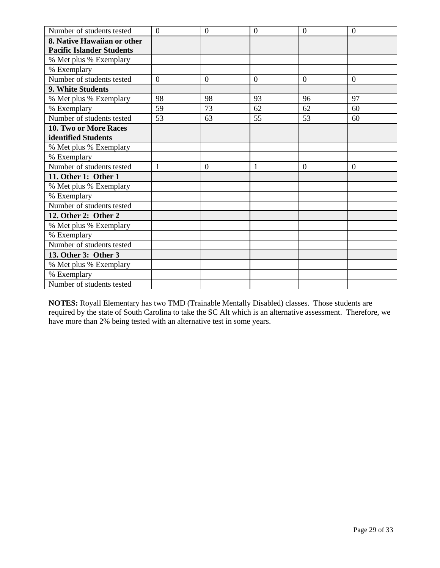| Number of students tested        | $\overline{0}$ | $\mathbf{0}$   | $\overline{0}$ | $\theta$       | $\mathbf{0}$   |
|----------------------------------|----------------|----------------|----------------|----------------|----------------|
| 8. Native Hawaiian or other      |                |                |                |                |                |
| <b>Pacific Islander Students</b> |                |                |                |                |                |
| % Met plus % Exemplary           |                |                |                |                |                |
| % Exemplary                      |                |                |                |                |                |
| Number of students tested        | $\overline{0}$ | $\overline{0}$ | $\overline{0}$ | $\overline{0}$ | $\overline{0}$ |
| 9. White Students                |                |                |                |                |                |
| % Met plus % Exemplary           | 98             | 98             | 93             | 96             | 97             |
| % Exemplary                      | 59             | 73             | 62             | 62             | 60             |
| Number of students tested        | 53             | 63             | 55             | 53             | 60             |
| 10. Two or More Races            |                |                |                |                |                |
| identified Students              |                |                |                |                |                |
| % Met plus % Exemplary           |                |                |                |                |                |
| % Exemplary                      |                |                |                |                |                |
| Number of students tested        | $\mathbf{1}$   | $\mathbf{0}$   |                | $\overline{0}$ | $\overline{0}$ |
| 11. Other 1: Other 1             |                |                |                |                |                |
| % Met plus % Exemplary           |                |                |                |                |                |
| % Exemplary                      |                |                |                |                |                |
| Number of students tested        |                |                |                |                |                |
| 12. Other 2: Other 2             |                |                |                |                |                |
| % Met plus % Exemplary           |                |                |                |                |                |
| % Exemplary                      |                |                |                |                |                |
| Number of students tested        |                |                |                |                |                |
| 13. Other 3: Other 3             |                |                |                |                |                |
| % Met plus % Exemplary           |                |                |                |                |                |
| % Exemplary                      |                |                |                |                |                |
| Number of students tested        |                |                |                |                |                |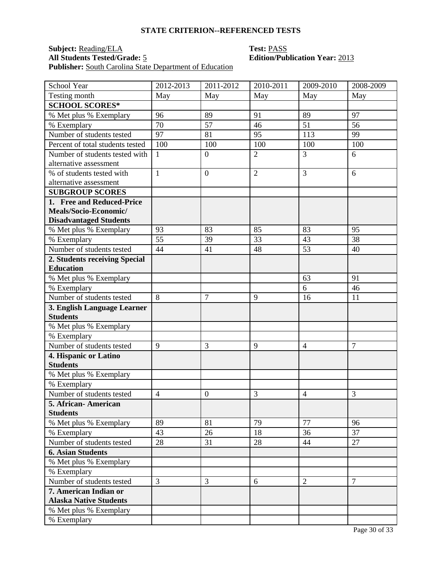## **Subject:** <u>Reading/ELA</u> **Test:** <u>PASS</u><br> **All Students Tested/Grade:** 5 **Edition/Public Edition** Publisher: South Carolina State Department of Education

# **All Students Tested/Grade:** 5 **Edition/Publication Year:** 2013

| School Year                      | 2012-2013      | 2011-2012        | 2010-2011      | $2009 - 2010$  | 2008-2009      |
|----------------------------------|----------------|------------------|----------------|----------------|----------------|
| Testing month                    | May            | May              | May            | May            | May            |
| <b>SCHOOL SCORES*</b>            |                |                  |                |                |                |
| % Met plus % Exemplary           | 96             | 89               | 91             | 89             | 97             |
| % Exemplary                      | 70             | 57               | 46             | 51             | 56             |
| Number of students tested        | 97             | 81               | 95             | 113            | 99             |
| Percent of total students tested | 100            | 100              | 100            | 100            | 100            |
| Number of students tested with   | $\mathbf{1}$   | $\overline{0}$   | $\overline{2}$ | $\overline{3}$ | 6              |
| alternative assessment           |                |                  |                |                |                |
| % of students tested with        | $\mathbf{1}$   | $\overline{0}$   | $\overline{2}$ | 3              | 6              |
| alternative assessment           |                |                  |                |                |                |
| <b>SUBGROUP SCORES</b>           |                |                  |                |                |                |
| 1. Free and Reduced-Price        |                |                  |                |                |                |
| Meals/Socio-Economic/            |                |                  |                |                |                |
| <b>Disadvantaged Students</b>    |                |                  |                |                |                |
| % Met plus % Exemplary           | 93             | 83               | 85             | 83             | 95             |
| % Exemplary                      | 55             | 39               | 33             | 43             | 38             |
| Number of students tested        | 44             | 41               | 48             | 53             | 40             |
| 2. Students receiving Special    |                |                  |                |                |                |
| <b>Education</b>                 |                |                  |                |                |                |
| % Met plus % Exemplary           |                |                  |                | 63             | 91             |
| % Exemplary                      |                |                  |                | 6              | 46             |
| Number of students tested        | 8              | 7                | 9              | 16             | 11             |
| 3. English Language Learner      |                |                  |                |                |                |
| <b>Students</b>                  |                |                  |                |                |                |
| % Met plus % Exemplary           |                |                  |                |                |                |
| % Exemplary                      |                |                  |                |                |                |
| Number of students tested        | 9              | 3                | 9              | $\overline{4}$ | $\overline{7}$ |
| 4. Hispanic or Latino            |                |                  |                |                |                |
| <b>Students</b>                  |                |                  |                |                |                |
| % Met plus % Exemplary           |                |                  |                |                |                |
| % Exemplary                      |                |                  |                |                |                |
| Number of students tested        | $\overline{4}$ | $\boldsymbol{0}$ | 3              | $\overline{4}$ | 3              |
| 5. African- American             |                |                  |                |                |                |
| <b>Students</b>                  |                |                  |                |                |                |
| % Met plus % Exemplary           | 89             | 81               | 79             | 77             | 96             |
| % Exemplary                      | 43             | 26               | 18             | 36             | 37             |
| Number of students tested        | 28             | 31               | 28             | 44             | 27             |
| <b>6. Asian Students</b>         |                |                  |                |                |                |
| % Met plus % Exemplary           |                |                  |                |                |                |
| % Exemplary                      |                |                  |                |                |                |
| Number of students tested        | $\overline{3}$ | 3                | 6              | $\overline{2}$ | $\tau$         |
| 7. American Indian or            |                |                  |                |                |                |
| <b>Alaska Native Students</b>    |                |                  |                |                |                |
| % Met plus % Exemplary           |                |                  |                |                |                |
| % Exemplary                      |                |                  |                |                |                |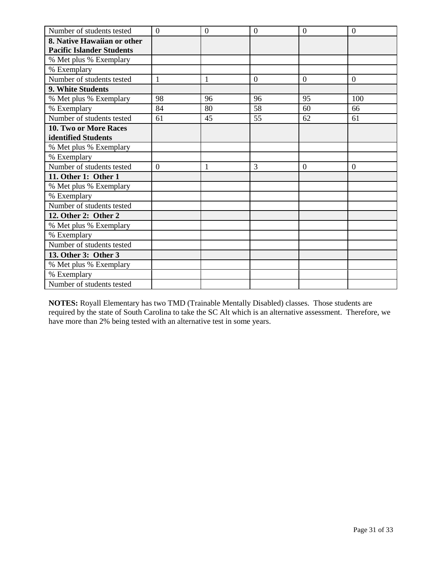| Number of students tested        | $\overline{0}$ | $\mathbf{0}$ | $\overline{0}$ | $\overline{0}$ | $\overline{0}$ |
|----------------------------------|----------------|--------------|----------------|----------------|----------------|
| 8. Native Hawaiian or other      |                |              |                |                |                |
| <b>Pacific Islander Students</b> |                |              |                |                |                |
| % Met plus % Exemplary           |                |              |                |                |                |
| % Exemplary                      |                |              |                |                |                |
| Number of students tested        | 1              | 1            | $\overline{0}$ | $\overline{0}$ | $\overline{0}$ |
| 9. White Students                |                |              |                |                |                |
| % Met plus % Exemplary           | 98             | 96           | 96             | 95             | 100            |
| % Exemplary                      | 84             | 80           | 58             | 60             | 66             |
| Number of students tested        | 61             | 45           | 55             | 62             | 61             |
| <b>10. Two or More Races</b>     |                |              |                |                |                |
| identified Students              |                |              |                |                |                |
| % Met plus % Exemplary           |                |              |                |                |                |
| % Exemplary                      |                |              |                |                |                |
| Number of students tested        | $\overline{0}$ | $\mathbf{1}$ | 3              | $\overline{0}$ | $\overline{0}$ |
| 11. Other 1: Other 1             |                |              |                |                |                |
| % Met plus % Exemplary           |                |              |                |                |                |
| % Exemplary                      |                |              |                |                |                |
| Number of students tested        |                |              |                |                |                |
| 12. Other 2: Other 2             |                |              |                |                |                |
| % Met plus % Exemplary           |                |              |                |                |                |
| % Exemplary                      |                |              |                |                |                |
| Number of students tested        |                |              |                |                |                |
| 13. Other 3: Other 3             |                |              |                |                |                |
| % Met plus % Exemplary           |                |              |                |                |                |
| % Exemplary                      |                |              |                |                |                |
| Number of students tested        |                |              |                |                |                |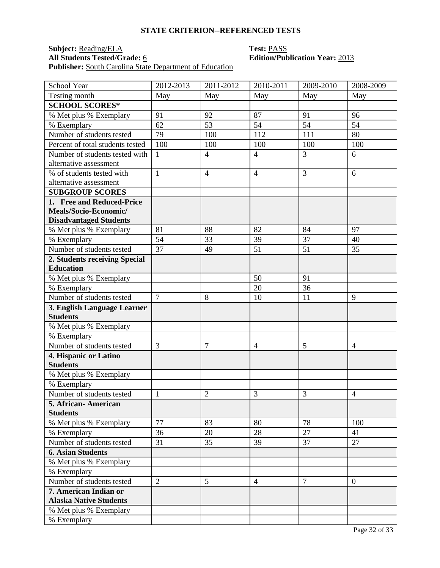## **Subject:** <u>Reading/ELA</u> **Test:** <u>PASS</u><br> **All Students Tested/Grade:** 6 **Edition/Public Edition** Publisher: South Carolina State Department of Education

# **All Students Tested/Grade:** 6 **Edition/Publication Year:** 2013

| School Year                      | 2012-2013      | $2011 - 2012$  | $2010 - 2011$  | 2009-2010      | 2008-2009      |
|----------------------------------|----------------|----------------|----------------|----------------|----------------|
| Testing month                    | May            | May            | May            | May            | May            |
| <b>SCHOOL SCORES*</b>            |                |                |                |                |                |
| % Met plus % Exemplary           | 91             | 92             | 87             | 91             | 96             |
| % Exemplary                      | 62             | 53             | 54             | 54             | 54             |
| Number of students tested        | 79             | 100            | 112            | 111            | 80             |
| Percent of total students tested | 100            | 100            | 100            | 100            | 100            |
| Number of students tested with   | $\mathbf{1}$   | $\overline{4}$ | $\overline{4}$ | 3              | 6              |
| alternative assessment           |                |                |                |                |                |
| % of students tested with        | $\mathbf{1}$   | $\overline{4}$ | $\overline{4}$ | 3              | 6              |
| alternative assessment           |                |                |                |                |                |
| <b>SUBGROUP SCORES</b>           |                |                |                |                |                |
| 1. Free and Reduced-Price        |                |                |                |                |                |
| Meals/Socio-Economic/            |                |                |                |                |                |
| <b>Disadvantaged Students</b>    |                |                |                |                |                |
| % Met plus % Exemplary           | 81             | 88             | 82             | 84             | 97             |
| % Exemplary                      | 54             | 33             | 39             | 37             | 40             |
| Number of students tested        | 37             | 49             | 51             | 51             | 35             |
| 2. Students receiving Special    |                |                |                |                |                |
| <b>Education</b>                 |                |                |                |                |                |
| % Met plus % Exemplary           |                |                | 50             | 91             |                |
| % Exemplary                      |                |                | 20             | 36             |                |
| Number of students tested        | $\overline{7}$ | 8              | 10             | 11             | 9              |
| 3. English Language Learner      |                |                |                |                |                |
| <b>Students</b>                  |                |                |                |                |                |
| % Met plus % Exemplary           |                |                |                |                |                |
| % Exemplary                      |                |                |                |                |                |
| Number of students tested        | 3              | $\overline{7}$ | $\overline{4}$ | 5              | $\overline{4}$ |
| 4. Hispanic or Latino            |                |                |                |                |                |
| <b>Students</b>                  |                |                |                |                |                |
| % Met plus % Exemplary           |                |                |                |                |                |
| % Exemplary                      |                |                |                |                |                |
| Number of students tested        | $\mathbf{1}$   | $\overline{2}$ | 3              | 3              | $\overline{4}$ |
| 5. African- American             |                |                |                |                |                |
| <b>Students</b>                  |                |                |                |                |                |
| % Met plus % Exemplary           | 77             | 83             | 80             | 78             | 100            |
| % Exemplary                      | 36             | 20             | 28             | 27             | 41             |
| Number of students tested        | 31             | 35             | 39             | 37             | 27             |
| <b>6. Asian Students</b>         |                |                |                |                |                |
| % Met plus % Exemplary           |                |                |                |                |                |
| % Exemplary                      |                |                |                |                |                |
| Number of students tested        | $\overline{2}$ | 5              | $\overline{4}$ | $\overline{7}$ | $\overline{0}$ |
| 7. American Indian or            |                |                |                |                |                |
| <b>Alaska Native Students</b>    |                |                |                |                |                |
| % Met plus % Exemplary           |                |                |                |                |                |
| % Exemplary                      |                |                |                |                |                |